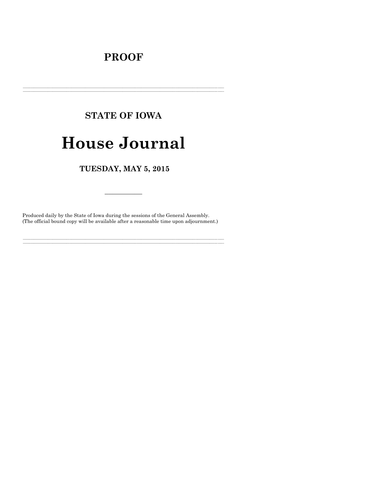## **PROOF**

# **STATE OF IOWA House Journal**

## TUESDAY, MAY 5, 2015

Produced daily by the State of Iowa during the sessions of the General Assembly. (The official bound copy will be available after a reasonable time upon adjournment.)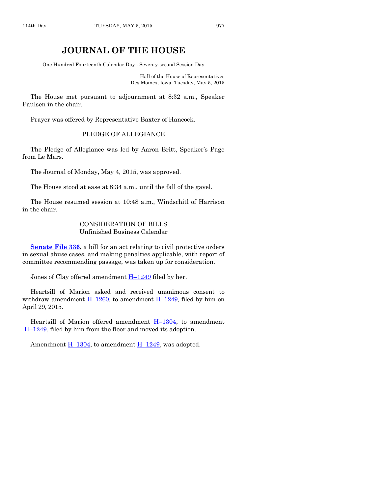### **JOURNAL OF THE HOUSE**

One Hundred Fourteenth Calendar Day - Seventy-second Session Day

Hall of the House of Representatives Des Moines, Iowa, Tuesday, May 5, 2015

The House met pursuant to adjournment at 8:32 a.m., Speaker Paulsen in the chair.

Prayer was offered by Representative Baxter of Hancock.

#### PLEDGE OF ALLEGIANCE

The Pledge of Allegiance was led by Aaron Britt, Speaker's Page from Le Mars.

The Journal of Monday, May 4, 2015, was approved.

The House stood at ease at 8:34 a.m., until the fall of the gavel.

The House resumed session at 10:48 a.m., Windschitl of Harrison in the chair.

#### CONSIDERATION OF BILLS Unfinished Business Calendar

**[Senate File 336,](http://coolice.legis.iowa.gov/Cool-ICE/default.asp?Category=billinfo&Service=Billbook&frame=1&GA=86&hbill=SF336)** a bill for an act relating to civil protective orders in sexual abuse cases, and making penalties applicable, with report of committee recommending passage, was taken up for consideration.

Jones of Clay offered amendment  $H-1249$  $H-1249$  filed by her.

Heartsill of Marion asked and received unanimous consent to withdraw amendment  $\underline{H-1260}$ , to amendment  $\underline{H-1249}$ , filed by him on April 29, 2015.

Heartsill of Marion offered amendment  $H-1304$ , to amendment  $H-1249$ , filed by him from the floor and moved its adoption.

Amendment  $\underline{H-1304}$ , to amendment  $\underline{H-1249}$ , was adopted.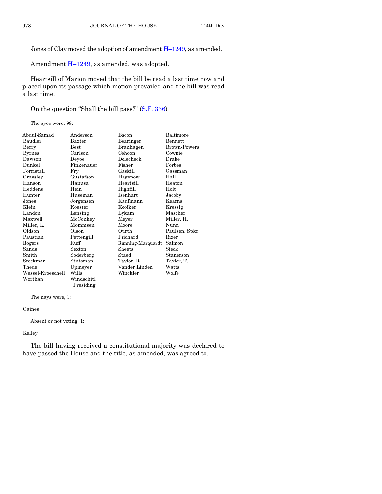Jones of Clay moved the adoption of amendment  $H-1249$ , as amended.

Amendment  $H-1249$ , as amended, was adopted.

Heartsill of Marion moved that the bill be read a last time now and placed upon its passage which motion prevailed and the bill was read a last time.

On the question "Shall the bill pass?" ([S.F. 336\)](http://coolice.legis.iowa.gov/Cool-ICE/default.asp?Category=billinfo&Service=Billbook&frame=1&GA=86&hbill=SF336)

The ayes were, 98:

| Abdul-Samad       | Anderson      | Bacon             | Baltimore           |
|-------------------|---------------|-------------------|---------------------|
| Baudler           | Baxter        | Bearinger         | Bennett             |
| Berry             | $_{\rm Best}$ | Branhagen         | <b>Brown-Powers</b> |
| <b>Byrnes</b>     | Carlson       | Cohoon            | Cownie              |
| Dawson            | Deyoe         | Dolecheck         | Drake               |
| Dunkel            | Finkenauer    | Fisher            | Forbes              |
| Forristall        | Fry           | Gaskill           | Gassman             |
| Grassley          | Gustafson     | Hagenow           | Hall                |
| Hanson            | Hanusa        | Heartsill         | Heaton              |
| Heddens           | Hein          | Highfill          | Holt                |
| Hunter            | Huseman       | Isenhart          | Jacoby              |
| Jones             | Jorgensen     | Kaufmann          | Kearns              |
| Klein             | Koester       | Kooiker           | Kressig             |
| Landon            | Lensing       | Lykam             | Mascher             |
| Maxwell           | McConkey      | Meyer             | Miller, H.          |
| Miller, L.        | Mommsen       | Moore             | Nunn                |
| Oldson            | Olson         | Ourth             | Paulsen, Spkr.      |
| Paustian          | Pettengill    | Prichard          | Rizer               |
| Rogers            | Ruff          | Running-Marquardt | Salmon              |
| Sands             | Sexton        | Sheets            | Sieck               |
| Smith             | Soderberg     | Staed             | Stanerson           |
| Steckman          | Stutsman      | Taylor, R.        | Taylor, T.          |
| Thede             | Upmeyer       | Vander Linden     | Watts               |
| Wessel-Kroeschell | Wills         | Winckler          | Wolfe               |
| Worthan           | Windschitl,   |                   |                     |

The nays were, 1:

#### Gaines

Absent or not voting, 1:

Presiding

#### Kelley

The bill having received a constitutional majority was declared to have passed the House and the title, as amended, was agreed to.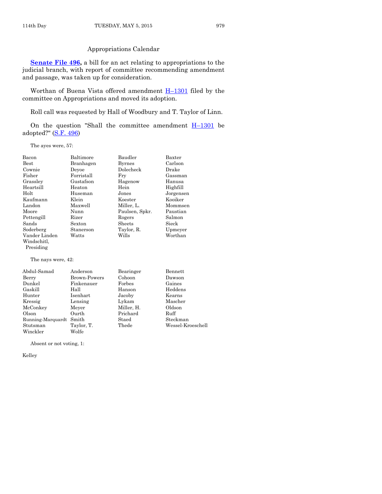#### Appropriations Calendar

**[Senate File 496,](http://coolice.legis.iowa.gov/Cool-ICE/default.asp?Category=billinfo&Service=Billbook&frame=1&GA=86&hbill=SF496)** a bill for an act relating to appropriations to the judicial branch, with report of committee recommending amendment and passage, was taken up for consideration.

Worthan of Buena Vista offered amendment  $H-1301$  $H-1301$  filed by the committee on Appropriations and moved its adoption.

Roll call was requested by Hall of Woodbury and T. Taylor of Linn.

On the question "Shall the committee amendment  $H-1301$  $H-1301$  be adopted?" [\(S.F. 496\)](http://coolice.legis.iowa.gov/Cool-ICE/default.asp?Category=billinfo&Service=Billbook&frame=1&GA=86&hbill=SF496)

The ayes were, 57:

| Bacon              | Baltimore        | Baudler        | Baxter    |
|--------------------|------------------|----------------|-----------|
| $_{\rm Best}$      | Branhagen        | Byrnes         | Carlson   |
| Cownie             | Devoe            | Dolecheck      | Drake     |
| Fisher             | $\rm Forristall$ | Fry            | Gassman   |
| Grassley           | Gustafson        | Hagenow        | Hanusa    |
| Heartsill          | Heaton           | Hein           | Highfill  |
| Holt               | Huseman          | Jones          | Jorgensen |
| Kaufmann           | Klein            | Koester        | Kooiker   |
| Landon             | Maxwell          | Miller, L.     | Mommsen   |
| Moore              | Nunn             | Paulsen, Spkr. | Paustian  |
| Pettengill         | Rizer            | Rogers         | Salmon    |
| Sands              | Sexton           | Sheets         | Sieck     |
| Soderberg          | Stanerson        | Taylor, R.     | Upmeyer   |
| Vander Linden      | Watts            | Wills          | Worthan   |
| Windschitl,        |                  |                |           |
| Presiding          |                  |                |           |
| The nays were, 42: |                  |                |           |

| Anderson                | Bearinger  | Bennett           |
|-------------------------|------------|-------------------|
| Brown-Powers            | Cohoon     | Dawson            |
| Finkenauer              | Forbes     | Gaines            |
| Hall                    | Hanson     | Heddens           |
| Isenhart                | Jacoby     | Kearns            |
| Lensing                 | Lykam      | Mascher           |
| Meyer                   | Miller, H. | Oldson            |
| Ourth                   | Prichard   | Ruff              |
| Running-Marquardt Smith | Staed      | Steckman          |
| Taylor, T.              | Thede      | Wessel-Kroeschell |
| Wolfe                   |            |                   |
|                         |            |                   |

Absent or not voting, 1:

Kelley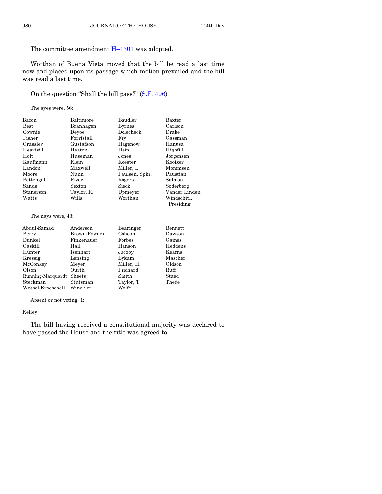The committee amendment  $H-1301$  $H-1301$  was adopted.

Worthan of Buena Vista moved that the bill be read a last time now and placed upon its passage which motion prevailed and the bill was read a last time.

#### On the question "Shall the bill pass?" ([S.F. 496\)](http://coolice.legis.iowa.gov/Cool-ICE/default.asp?Category=billinfo&Service=Billbook&frame=1&GA=86&hbill=SF496)

The ayes were, 56:

| Bacon       | Baltimore  | Baudler        | Baxter        |
|-------------|------------|----------------|---------------|
| <b>Best</b> | Branhagen  | Byrnes         | Carlson       |
| Cownie      | Devoe      | Dolecheck      | Drake         |
| Fisher      | Forristall | Frv            | Gassman       |
| Grassley    | Gustafson  | Hagenow        | Hanusa        |
| Heartsill   | Heaton     | Hein           | Highfill      |
| Holt        | Huseman    | Jones          | Jorgensen     |
| Kaufmann    | Klein      | Koester        | Kooiker       |
| Landon      | Maxwell    | Miller, L.     | Mommsen       |
| Moore       | Nunn       | Paulsen, Spkr. | Paustian      |
| Pettengill  | Rizer      | Rogers         | Salmon        |
| Sands       | Sexton     | Sieck          | Soderberg     |
| Stanerson   | Taylor, R. | Upmeyer        | Vander Linden |
| Watts       | Wills      | Worthan        | Windschitl.   |
|             |            |                | Presiding     |

#### The nays were, 43:

| Abdul-Samad              | Anderson     | Bearinger  | Bennett |
|--------------------------|--------------|------------|---------|
| Berry                    | Brown-Powers | Cohoon     | Dawson  |
| Dunkel                   | Finkenauer   | Forbes     | Gaines  |
| Gaskill                  | Hall         | Hanson     | Heddens |
| Hunter                   | Isenhart     | Jacoby     | Kearns  |
| Kressig                  | Lensing      | Lykam      | Mascher |
| McConkey                 | Meyer        | Miller, H. | Oldson  |
| Olson                    | Ourth        | Prichard   | Ruff    |
| Running-Marquardt Sheets |              | Smith      | Staed   |
| Steckman                 | Stutsman     | Taylor, T. | Thede   |
| Wessel-Kroeschell        | Winckler     | Wolfe      |         |

Absent or not voting, 1:

#### Kelley

The bill having received a constitutional majority was declared to have passed the House and the title was agreed to.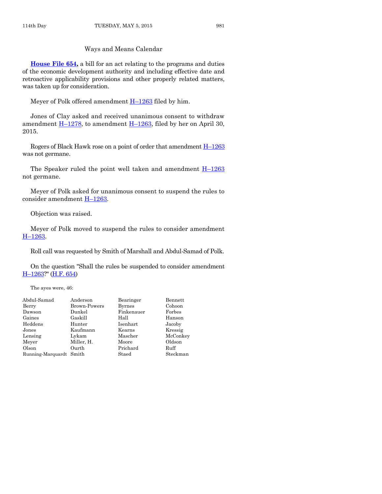#### Ways and Means Calendar

**[House File 654,](http://coolice.legis.iowa.gov/Cool-ICE/default.asp?Category=billinfo&Service=Billbook&frame=1&GA=86&hbill=HF654)** a bill for an act relating to the programs and duties of the economic development authority and including effective date and retroactive applicability provisions and other properly related matters, was taken up for consideration.

Meyer of Polk offered amendment  $H-1263$  $H-1263$  filed by him.

Jones of Clay asked and received unanimous consent to withdraw amendment  $H-1278$ , to amendment  $H-1263$ , filed by her on April 30, 2015.

Rogers of Black Hawk rose on a point of order that amendment  $H_{1263}$  $H_{1263}$  $H_{1263}$ was not germane.

The Speaker ruled the point well taken and amendment H–[1263](http://coolice.legis.iowa.gov/Cool-ICE/default.asp?Category=billinfo&Service=Billbook&frame=1&GA=86&hbill=H1263) not germane.

Meyer of Polk asked for unanimous consent to suspend the rules to consider amendment **H**–[1263.](http://coolice.legis.iowa.gov/Cool-ICE/default.asp?Category=billinfo&Service=Billbook&frame=1&GA=86&hbill=H1263)

Objection was raised.

Meyer of Polk moved to suspend the rules to consider amendment H–[1263.](http://coolice.legis.iowa.gov/Cool-ICE/default.asp?Category=billinfo&Service=Billbook&frame=1&GA=86&hbill=H1263)

Roll call was requested by Smith of Marshall and Abdul-Samad of Polk.

On the question "Shall the rules be suspended to consider amendment H–[1263?](http://coolice.legis.iowa.gov/Cool-ICE/default.asp?Category=billinfo&Service=Billbook&frame=1&GA=86&hbill=H1263)" [\(H.F. 654\)](http://coolice.legis.iowa.gov/Cool-ICE/default.asp?Category=billinfo&Service=Billbook&frame=1&GA=86&hbill=HF654)

The ayes were, 46:

| Abdul-Samad             | Anderson     | Bearinger     | Bennett  |
|-------------------------|--------------|---------------|----------|
| Berry                   | Brown-Powers | <b>Byrnes</b> | Cohoon   |
| Dawson                  | Dunkel       | Finkenauer    | Forbes   |
| Gaines                  | Gaskill      | Hall          | Hanson   |
| Heddens                 | Hunter       | Isenhart      | Jacoby   |
| Jones                   | Kaufmann     | Kearns        | Kressig  |
| Lensing                 | Lykam        | Mascher       | McConkey |
| Meyer                   | Miller, H.   | Moore         | Oldson   |
| Olson                   | Ourth        | Prichard      | Ruff     |
| Running-Marquardt Smith |              | Staed         | Steckman |
|                         |              |               |          |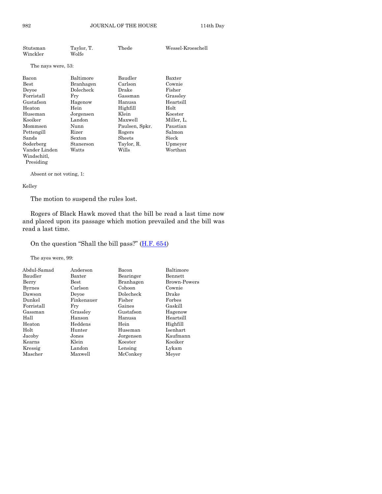| Stutsman           | Taylor, T. | Thede          | Wessel-Kroeschell |
|--------------------|------------|----------------|-------------------|
| Winckler           | Wolfe      |                |                   |
| The nays were, 53: |            |                |                   |
| Bacon              | Baltimore  | Baudler        | Baxter            |
| $_{\rm Best}$      | Branhagen  | Carlson        | Cownie            |
| Deyoe              | Dolecheck  | Drake          | Fisher            |
| Forristall         | Fry        | Gassman        | Grassley          |
| Gustafson          | Hagenow    | Hanusa         | Heartsill         |
| Heaton             | Hein       | Highfill       | Holt              |
| Huseman            | Jorgensen  | Klein          | Koester           |
| Kooiker            | Landon     | Maxwell        | Miller, L.        |
| Mommsen            | Nunn       | Paulsen, Spkr. | Paustian          |
| Pettengill         | Rizer      | Rogers         | Salmon            |
| Sands              | Sexton     | Sheets         | Sieck             |
| Soderberg          | Stanerson  | Taylor, R.     | Upmeyer           |
| Vander Linden      | Watts      | Wills          | Worthan           |
| Windschitl,        |            |                |                   |
| Presiding          |            |                |                   |

#### Kelley

The motion to suspend the rules lost.

Rogers of Black Hawk moved that the bill be read a last time now and placed upon its passage which motion prevailed and the bill was read a last time.

#### On the question "Shall the bill pass?" ([H.F. 654\)](http://coolice.legis.iowa.gov/Cool-ICE/default.asp?Category=billinfo&Service=Billbook&frame=1&GA=86&hbill=HF654)

The ayes were, 99:

| Anderson      | Bacon     | Baltimore    |
|---------------|-----------|--------------|
| Baxter        | Bearinger | Bennett      |
| $_{\rm Best}$ | Branhagen | Brown-Powers |
| Carlson       | Cohoon    | Cownie       |
| Devoe         | Dolecheck | Drake        |
| Finkenauer    | Fisher    | Forbes       |
| Fry           | Gaines    | Gaskill      |
| Grassley      | Gustafson | Hagenow      |
| Hanson        | Hanusa    | Heartsill    |
| Heddens       | Hein      | Highfill     |
| Hunter        | Huseman   | Isenhart     |
| Jones         | Jorgensen | Kaufmann     |
| Klein         | Koester   | Kooiker      |
| Landon        | Lensing   | Lykam        |
| Maxwell       | McConkey  | Meyer        |
|               |           |              |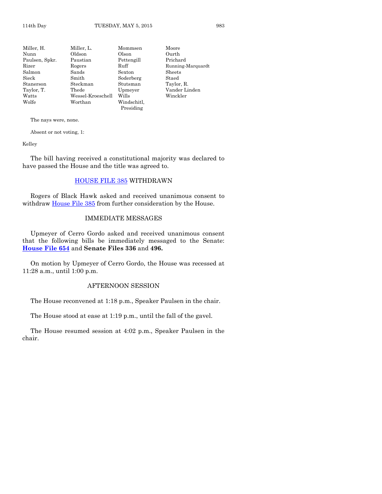Miller, H. Miller, L. Mommsen Moore Nunn Oldson Olson Ourth Paulsen, Spkr. Paustian Pettengill Prichard Rizer Rogers Ruff Running-Marquardt Salmon Sands Sexton Sheets Sieck Smith Soderberg Staed Stanerson Steckman Stutsman Taylor, R. Taylor, T. Thede Upmeyer Vander Linden Wessel-Kroeschell Wills Wolfe Worthan Windschitl, Presiding

The nays were, none.

Absent or not voting, 1:

Kelley

The bill having received a constitutional majority was declared to have passed the House and the title was agreed to.

#### [HOUSE FILE 385](http://coolice.legis.iowa.gov/Cool-ICE/default.asp?Category=billinfo&Service=Billbook&frame=1&GA=86&hbill=HF385) WITHDRAWN

Rogers of Black Hawk asked and received unanimous consent to withdraw [House File 385](http://coolice.legis.iowa.gov/Cool-ICE/default.asp?Category=billinfo&Service=Billbook&frame=1&GA=86&hbill=HF385) from further consideration by the House.

#### IMMEDIATE MESSAGES

Upmeyer of Cerro Gordo asked and received unanimous consent that the following bills be immediately messaged to the Senate: **[House File 654](http://coolice.legis.iowa.gov/Cool-ICE/default.asp?Category=billinfo&Service=Billbook&frame=1&GA=86&hbill=HF654)** and **Senate Files 336** and **496.**

On motion by Upmeyer of Cerro Gordo, the House was recessed at 11:28 a.m., until 1:00 p.m.

#### AFTERNOON SESSION

The House reconvened at 1:18 p.m., Speaker Paulsen in the chair.

The House stood at ease at 1:19 p.m., until the fall of the gavel.

The House resumed session at 4:02 p.m., Speaker Paulsen in the chair.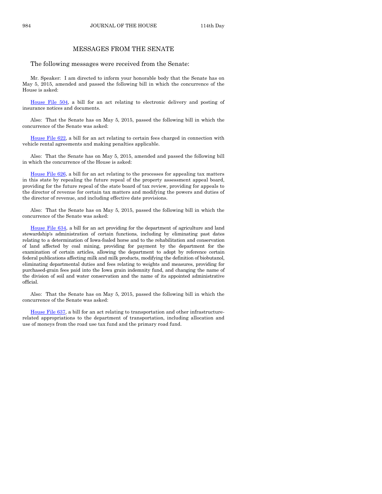#### MESSAGES FROM THE SENATE

The following messages were received from the Senate:

Mr. Speaker: I am directed to inform your honorable body that the Senate has on May 5, 2015, amended and passed the following bill in which the concurrence of the House is asked:

[House File 504,](http://coolice.legis.iowa.gov/Cool-ICE/default.asp?Category=billinfo&Service=Billbook&frame=1&GA=86&hbill=HF504) a bill for an act relating to electronic delivery and posting of insurance notices and documents.

Also: That the Senate has on May 5, 2015, passed the following bill in which the concurrence of the Senate was asked:

[House File 622,](http://coolice.legis.iowa.gov/Cool-ICE/default.asp?Category=billinfo&Service=Billbook&frame=1&GA=86&hbill=HF622) a bill for an act relating to certain fees charged in connection with vehicle rental agreements and making penalties applicable.

Also: That the Senate has on May 5, 2015, amended and passed the following bill in which the concurrence of the House is asked:

[House File 626,](http://coolice.legis.iowa.gov/Cool-ICE/default.asp?Category=billinfo&Service=Billbook&frame=1&GA=86&hbill=HF626) a bill for an act relating to the processes for appealing tax matters in this state by repealing the future repeal of the property assessment appeal board, providing for the future repeal of the state board of tax review, providing for appeals to the director of revenue for certain tax matters and modifying the powers and duties of the director of revenue, and including effective date provisions.

Also: That the Senate has on May 5, 2015, passed the following bill in which the concurrence of the Senate was asked:

[House File 634,](http://coolice.legis.iowa.gov/Cool-ICE/default.asp?Category=billinfo&Service=Billbook&frame=1&GA=86&hbill=HF634) a bill for an act providing for the department of agriculture and land stewardship's administration of certain functions, including by eliminating past dates relating to a determination of Iowa-foaled horse and to the rehabilitation and conservation of land affected by coal mining, providing for payment by the department for the examination of certain articles, allowing the department to adopt by reference certain federal publications affecting milk and milk products, modifying the definition of biobutanol, eliminating departmental duties and fees relating to weights and measures, providing for purchased-grain fees paid into the Iowa grain indemnity fund, and changing the name of the division of soil and water conservation and the name of its appointed administrative official.

Also: That the Senate has on May 5, 2015, passed the following bill in which the concurrence of the Senate was asked:

[House File 637,](http://coolice.legis.iowa.gov/Cool-ICE/default.asp?Category=billinfo&Service=Billbook&frame=1&GA=86&hbill=HF637) a bill for an act relating to transportation and other infrastructurerelated appropriations to the department of transportation, including allocation and use of moneys from the road use tax fund and the primary road fund.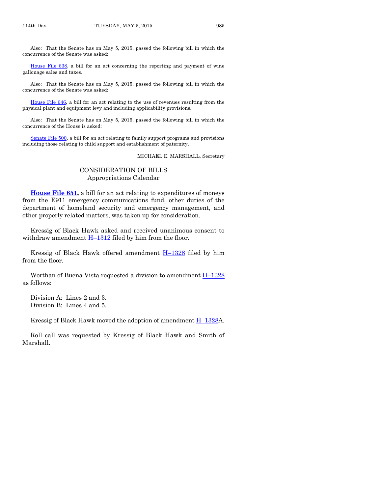Also: That the Senate has on May 5, 2015, passed the following bill in which the concurrence of the Senate was asked:

[House File 638,](http://coolice.legis.iowa.gov/Cool-ICE/default.asp?Category=billinfo&Service=Billbook&frame=1&GA=86&hbill=HF638) a bill for an act concerning the reporting and payment of wine gallonage sales and taxes.

Also: That the Senate has on May 5, 2015, passed the following bill in which the concurrence of the Senate was asked:

[House File 646,](http://coolice.legis.iowa.gov/Cool-ICE/default.asp?Category=billinfo&Service=Billbook&frame=1&GA=86&hbill=HF646) a bill for an act relating to the use of revenues resulting from the physical plant and equipment levy and including applicability provisions.

Also: That the Senate has on May 5, 2015, passed the following bill in which the concurrence of the House is asked:

[Senate File 500,](http://coolice.legis.iowa.gov/Cool-ICE/default.asp?Category=billinfo&Service=Billbook&frame=1&GA=86&hbill=SF500) a bill for an act relating to family support programs and provisions including those relating to child support and establishment of paternity.

MICHAEL E. MARSHALL, Secretary

#### CONSIDERATION OF BILLS Appropriations Calendar

**[House File 651,](http://coolice.legis.iowa.gov/Cool-ICE/default.asp?Category=billinfo&Service=Billbook&frame=1&GA=86&hbill=HF651)** a bill for an act relating to expenditures of moneys from the E911 emergency communications fund, other duties of the department of homeland security and emergency management, and other properly related matters, was taken up for consideration.

Kressig of Black Hawk asked and received unanimous consent to withdraw amendment  $H-1312$  $H-1312$  filed by him from the floor.

Kressig of Black Hawk offered amendment  $H-1328$  $H-1328$  filed by him from the floor.

Worthan of Buena Vista requested a division to amendment  $H-1328$  $H-1328$ as follows:

Division A: Lines 2 and 3. Division B: Lines 4 and 5.

Kressig of Black Hawk moved the adoption of amendment H–[1328A](http://coolice.legis.iowa.gov/Cool-ICE/default.asp?Category=billinfo&Service=Billbook&frame=1&GA=86&hbill=H1328).

Roll call was requested by Kressig of Black Hawk and Smith of Marshall.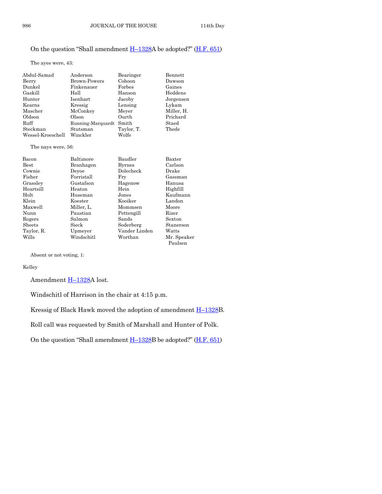#### On the question "Shall amendment  $H-1328A$  $H-1328A$  be adopted?" ( $H.F. 651$ )

The ayes were, 43:

| Abdul-Samad       | Anderson            | Bearinger  | Bennett    |
|-------------------|---------------------|------------|------------|
| Berry             | <b>Brown-Powers</b> | Cohoon     | Dawson     |
| Dunkel            | Finkenauer          | Forbes     | Gaines     |
| Gaskill           | Hall                | Hanson     | Heddens    |
| Hunter            | Isenhart            | Jacoby     | Jorgensen  |
| Kearns            | Kressig             | Lensing    | Lykam      |
| Mascher           | McConkey            | Meyer      | Miller, H. |
| Oldson            | Olson               | Ourth      | Prichard   |
| Ruff              | Running-Marquardt   | Smith      | Staed      |
| Steckman          | Stutsman            | Taylor, T. | Thede      |
| Wessel-Kroeschell | Winckler            | Wolfe      |            |

The nays were, 56:

| Bacon       | Baltimore  | Baudler       | Baxter      |
|-------------|------------|---------------|-------------|
| <b>Best</b> | Branhagen  | <b>Byrnes</b> | Carlson     |
| Cownie      | Devoe      | Dolecheck     | Drake       |
| Fisher      | Forristall | Fry           | Gassman     |
| Grassley    | Gustafson  | Hagenow       | Hanusa      |
| Heartsill   | Heaton     | Hein          | Highfill    |
| Holt        | Huseman    | Jones         | Kaufmann    |
| Klein       | Koester    | Kooiker       | Landon      |
| Maxwell     | Miller, L. | Mommsen       | Moore       |
| Nunn        | Paustian   | Pettengill    | Rizer       |
| Rogers      | Salmon     | Sands         | Sexton      |
| Sheets      | Sieck      | Soderberg     | Stanerson   |
| Taylor, R.  | Upmeyer    | Vander Linden | Watts       |
| Wills       | Windschitl | Worthan       | Mr. Speaker |
|             |            |               | Paulsen     |

Absent or not voting, 1:

Kelley

Amendment **H-1328**A lost.

Windschitl of Harrison in the chair at 4:15 p.m.

Kressig of Black Hawk moved the adoption of amendment H–[1328B](http://coolice.legis.iowa.gov/Cool-ICE/default.asp?Category=billinfo&Service=Billbook&frame=1&GA=86&hbill=H1328).

Roll call was requested by Smith of Marshall and Hunter of Polk.

On the question "Shall amendment  $H-1328B$  $H-1328B$  be adopted?" ( $H.F. 651$ )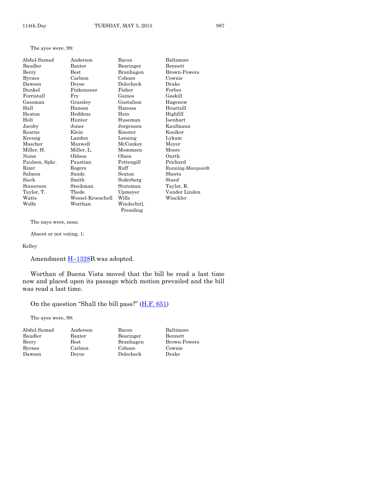The ayes were, 99:

| Abdul-Samad    | Anderson          | Bacon       | Baltimore         |
|----------------|-------------------|-------------|-------------------|
| Baudler        | Baxter            | Bearinger   | <b>Bennett</b>    |
| Berry          | Best              | Branhagen   | Brown-Powers      |
| <b>Byrnes</b>  | Carlson           | Cohoon      | Cownie            |
| Dawson         | Deyoe             | Dolecheck   | Drake             |
| Dunkel         | Finkenauer        | Fisher      | Forbes            |
| Forristall     | Fry               | Gaines      | Gaskill           |
| Gassman        | Grassley          | Gustafson   | Hagenow           |
| Hall           | Hanson            | Hanusa      | Heartsill         |
| Heaton         | Heddens           | Hein        | Highfill          |
| Holt           | Hunter            | Huseman     | Isenhart          |
| Jacoby         | $_{\rm Jones}$    | Jorgensen   | Kaufmann          |
| Kearns         | Klein             | Koester     | Kooiker           |
| Kressig        | Landon            | Lensing     | Lykam             |
| Mascher        | Maxwell           | McConkey    | Meyer             |
| Miller, H.     | Miller, L.        | Mommsen     | Moore             |
| Nunn           | Oldson            | Olson       | Ourth             |
| Paulsen, Spkr. | Paustian          | Pettengill  | Prichard          |
| Rizer          | Rogers            | Ruff        | Running-Marquardt |
| Salmon         | Sands             | Sexton      | Sheets            |
| Sieck          | Smith             | Soderberg   | Staed             |
| Stanerson      | Steckman          | Stutsman    | Taylor, R.        |
| Taylor, T.     | Thede             | Upmeyer     | Vander Linden     |
| Watts          | Wessel-Kroeschell | Wills       | Winckler          |
| Wolfe          | Worthan           | Windschitl, |                   |
|                |                   | Presiding   |                   |

The nays were, none.

Absent or not voting, 1:

Kelley

Amendment **H**-[1328B](http://coolice.legis.iowa.gov/Cool-ICE/default.asp?Category=billinfo&Service=Billbook&frame=1&GA=86&hbill=H1328) was adopted.

Worthan of Buena Vista moved that the bill be read a last time now and placed upon its passage which motion prevailed and the bill was read a last time.

On the question "Shall the bill pass?" [\(H.F. 651\)](http://coolice.legis.iowa.gov/Cool-ICE/default.asp?Category=billinfo&Service=Billbook&frame=1&GA=86&hbill=HF651)

The ayes were, 99:

| Abdul-Sama    |
|---------------|
| Baudler       |
| Berry         |
| <b>Byrnes</b> |
| Dawson        |

ad Anderson Bacon Baltimore Baxter Bearinger Bennett Carlson Cohoon Cownie Dawson Deyoe Dolecheck Drake

Best Branhagen Brown-Powers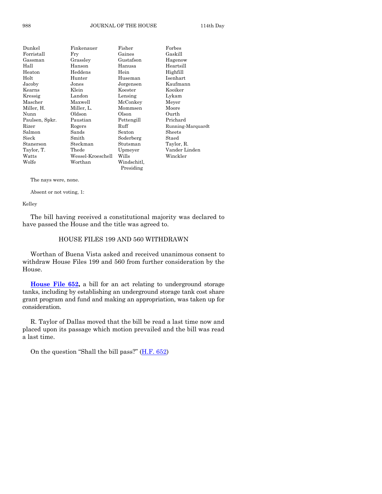| Dunkel           | Finkenauer        | Fisher                   | Forbes            |
|------------------|-------------------|--------------------------|-------------------|
| $\rm Forristall$ | Fry               | Gaines                   | Gaskill           |
| Gassman          | Grassley          | Gustafson                | Hagenow           |
| Hall             | Hanson            | Hanusa                   | Heartsill         |
| Heaton           | Heddens           | Hein                     | Highfill          |
| Holt             | Hunter            | Huseman                  | Isenhart          |
| Jacoby           | Jones             | Jorgensen                | Kaufmann          |
| Kearns           | Klein             | Koester                  | Kooiker           |
| Kressig          | Landon            | Lensing                  | Lykam             |
| Mascher          | Maxwell           | McConkey                 | Meyer             |
| Miller, H.       | Miller, L.        | Mommsen                  | Moore             |
| Nunn             | Oldson            | Olson                    | Ourth             |
| Paulsen, Spkr.   | Paustian          | Pettengill               | Prichard          |
| Rizer            | Rogers            | Ruff                     | Running-Marquardt |
| Salmon           | Sands             | Sexton                   | Sheets            |
| Sieck            | Smith             | Soderberg                | Staed             |
| Stanerson        | Steckman          | Stutsman                 | Taylor, R.        |
| Taylor, T.       | Thede             | Upmeyer                  | Vander Linden     |
| Watts            | Wessel-Kroeschell | Wills                    | Winckler          |
| Wolfe            | Worthan           | Windschitl.<br>Presiding |                   |
|                  |                   |                          |                   |

The nays were, none.

Absent or not voting, 1:

Kelley

The bill having received a constitutional majority was declared to have passed the House and the title was agreed to.

#### HOUSE FILES 199 AND 560 WITHDRAWN

Worthan of Buena Vista asked and received unanimous consent to withdraw House Files 199 and 560 from further consideration by the House.

**[House File 652,](http://coolice.legis.iowa.gov/Cool-ICE/default.asp?Category=billinfo&Service=Billbook&frame=1&GA=86&hbill=HF652)** a bill for an act relating to underground storage tanks, including by establishing an underground storage tank cost share grant program and fund and making an appropriation, was taken up for consideration.

R. Taylor of Dallas moved that the bill be read a last time now and placed upon its passage which motion prevailed and the bill was read a last time.

On the question "Shall the bill pass?" [\(H.F. 652\)](http://coolice.legis.iowa.gov/Cool-ICE/default.asp?Category=billinfo&Service=Billbook&frame=1&GA=86&hbill=HF652)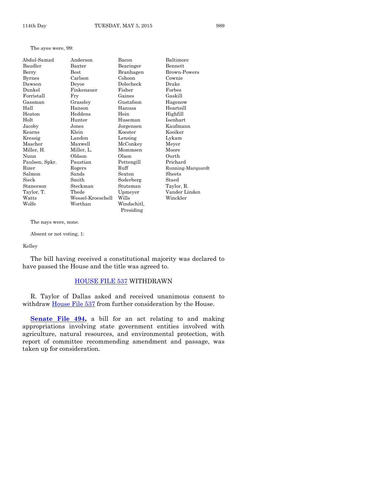The ayes were, 99:

| Abdul-Samad      | Anderson          | Bacon       | Baltimore         |
|------------------|-------------------|-------------|-------------------|
| Baudler          | Baxter            | Bearinger   | <b>Bennett</b>    |
| Berry            | Best              | Branhagen   | Brown-Powers      |
| <b>Byrnes</b>    | Carlson           | Cohoon      | Cownie            |
| Dawson           | Deyoe             | Dolecheck   | Drake             |
| Dunkel           | Finkenauer        | Fisher      | Forbes            |
| $\rm Forristall$ | Fry               | Gaines      | Gaskill           |
| Gassman          | Grassley          | Gustafson   | Hagenow           |
| Hall             | Hanson            | Hanusa      | Heartsill         |
| Heaton           | Heddens           | Hein        | Highfill          |
| Holt             | Hunter            | Huseman     | Isenhart          |
| Jacoby           | $_{\rm Jones}$    | Jorgensen   | Kaufmann          |
| Kearns           | Klein             | Koester     | Kooiker           |
| Kressig          | Landon            | Lensing     | Lykam             |
| Mascher          | Maxwell           | McConkey    | Meyer             |
| Miller, H.       | Miller, L.        | Mommsen     | Moore             |
| Nunn             | Oldson            | Olson       | Ourth             |
| Paulsen, Spkr.   | Paustian          | Pettengill  | Prichard          |
| Rizer            | Rogers            | Ruff        | Running-Marquardt |
| Salmon           | Sands             | Sexton      | Sheets            |
| Sieck            | Smith             | Soderberg   | Staed             |
| Stanerson        | Steckman          | Stutsman    | Taylor, R.        |
| Taylor, T.       | Thede             | Upmeyer     | Vander Linden     |
| Watts            | Wessel-Kroeschell | Wills       | Winckler          |
| Wolfe            | Worthan           | Windschitl, |                   |
|                  |                   | Presiding   |                   |

The nays were, none.

Absent or not voting, 1:

Kelley

The bill having received a constitutional majority was declared to have passed the House and the title was agreed to.

#### [HOUSE FILE 537](http://coolice.legis.iowa.gov/Cool-ICE/default.asp?Category=billinfo&Service=Billbook&frame=1&GA=86&hbill=HF537) WITHDRAWN

R. Taylor of Dallas asked and received unanimous consent to withdraw **House File 537** from further consideration by the House.

[Senate File 494,](http://coolice.legis.iowa.gov/Cool-ICE/default.asp?Category=billinfo&Service=Billbook&frame=1&GA=86&hbill=SF494) a bill for an act relating to and making appropriations involving state government entities involved with agriculture, natural resources, and environmental protection, with report of committee recommending amendment and passage, was taken up for consideration.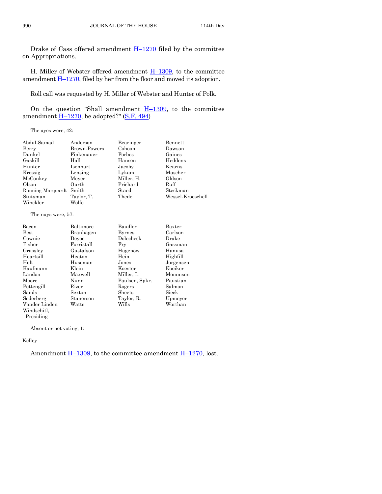Drake of Cass offered amendment  $H-1270$  $H-1270$  filed by the committee on Appropriations.

H. Miller of Webster offered amendment  $H-1309$ , to the committee amendment  $\underline{H-1270}$ , filed by her from the floor and moved its adoption.

Roll call was requested by H. Miller of Webster and Hunter of Polk.

On the question "Shall amendment  $H_{-1309}$ , to the committee amendment  $\underline{H-1270}$ , be adopted?" [\(S.F. 494\)](http://coolice.legis.iowa.gov/Cool-ICE/default.asp?Category=billinfo&Service=Billbook&frame=1&GA=86&hbill=SF494)

The ayes were, 42:

| Abdul-Samad             | Anderson     | Bearinger  | Bennett           |
|-------------------------|--------------|------------|-------------------|
| Berry                   | Brown-Powers | Cohoon     | Dawson            |
| Dunkel                  | Finkenauer   | Forbes     | Gaines            |
| Gaskill                 | Hall         | Hanson     | Heddens           |
| Hunter                  | Isenhart     | Jacoby     | Kearns            |
| Kressig                 | Lensing      | Lykam      | Mascher           |
| McConkey                | Meyer        | Miller, H. | Oldson            |
| Olson                   | Ourth        | Prichard   | Ruff              |
| Running-Marquardt Smith |              | Staed      | Steckman          |
| Stutsman                | Taylor, T.   | Thede      | Wessel-Kroeschell |
| Winckler                | Wolfe        |            |                   |

The nays were, 57:

| Bacon         | Baltimore  | Baudler        | Baxter    |
|---------------|------------|----------------|-----------|
| Best          | Branhagen  | <b>Byrnes</b>  | Carlson   |
| Cownie        | Devoe      | Dolecheck      | Drake     |
| Fisher        | Forristall | Frv            | Gassman   |
| Grassley      | Gustafson  | Hagenow        | Hanusa    |
| Heartsill     | Heaton     | Hein           | Highfill  |
| Holt          | Huseman    | Jones          | Jorgensen |
| Kaufmann      | Klein      | Koester        | Kooiker   |
| Landon        | Maxwell    | Miller, L.     | Mommsen   |
| Moore         | Nunn       | Paulsen, Spkr. | Paustian  |
| Pettengill    | Rizer      | Rogers         | Salmon    |
| Sands         | Sexton     | Sheets         | Sieck     |
| Soderberg     | Stanerson  | Taylor, R.     | Upmeyer   |
| Vander Linden | Watts      | Wills          | Worthan   |
| Windschitl,   |            |                |           |
| Presiding     |            |                |           |

Absent or not voting, 1:

Kelley

Amendment  $H-1309$ , to the committee amendment  $H-1270$ , lost.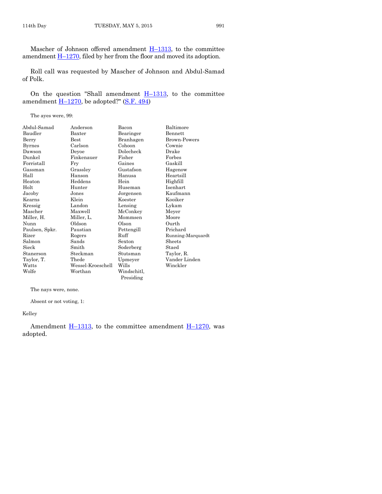Mascher of Johnson offered amendment  $H-1313$ , to the committee amendment  $\underline{H-1270}$ , filed by her from the floor and moved its adoption.

Roll call was requested by Mascher of Johnson and Abdul-Samad of Polk.

On the question "Shall amendment  $H-1313$ , to the committee amendment  $\underline{H-1270}$ , be adopted?" [\(S.F. 494\)](http://coolice.legis.iowa.gov/Cool-ICE/default.asp?Category=billinfo&Service=Billbook&frame=1&GA=86&hbill=SF494)

The ayes were, 99:

| Abdul-Samad    | Anderson          | Bacon       | Baltimore         |
|----------------|-------------------|-------------|-------------------|
| Baudler        | Baxter            | Bearinger   | Bennett           |
| Berry          | <b>Best</b>       | Branhagen   | Brown-Powers      |
| Byrnes         | Carlson           | Cohoon      | Cownie            |
| Dawson         | Deyoe             | Dolecheck   | Drake             |
| Dunkel         | Finkenauer        | Fisher      | Forbes            |
| Forristall     | Fry               | Gaines      | Gaskill           |
| Gassman        | Grassley          | Gustafson   | Hagenow           |
| Hall           | Hanson            | Hanusa      | Heartsill         |
| Heaton         | Heddens           | Hein        | Highfill          |
| Holt           | Hunter            | Huseman     | <b>Isenhart</b>   |
| Jacoby         | Jones             | Jorgensen   | Kaufmann          |
| Kearns         | Klein             | Koester     | Kooiker           |
| Kressig        | Landon            | Lensing     | Lykam             |
| Mascher        | Maxwell           | McConkey    | Meyer             |
| Miller, H.     | Miller, L.        | Mommsen     | Moore             |
| Nunn           | Oldson            | Olson       | Ourth             |
| Paulsen, Spkr. | Paustian          | Pettengill  | Prichard          |
| Rizer          | Rogers            | Ruff        | Running-Marquardt |
| Salmon         | Sands             | Sexton      | Sheets            |
| Sieck          | Smith             | Soderberg   | Staed             |
| Stanerson      | Steckman          | Stutsman    | Taylor, R.        |
| Taylor, T.     | Thede             | Upmeyer     | Vander Linden     |
| Watts          | Wessel-Kroeschell | Wills       | Winckler          |
| Wolfe          | Worthan           | Windschitl, |                   |
|                |                   | Presiding   |                   |

The nays were, none.

Absent or not voting, 1:

Kelley

Amendment  $H-1313$ , to the committee amendment  $H-1270$ , was adopted.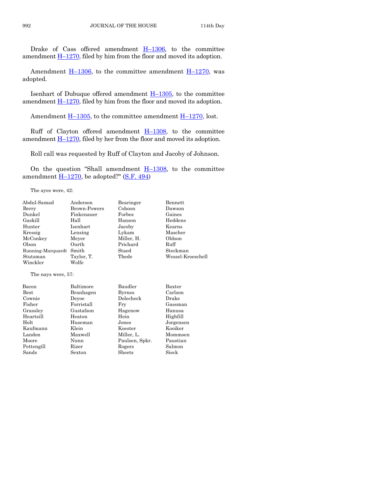Drake of Cass offered amendment H–[1306,](http://coolice.legis.iowa.gov/Cool-ICE/default.asp?Category=billinfo&Service=Billbook&frame=1&GA=86&hbill=H1306) to the committee amendment  $H-1270$ , filed by him from the floor and moved its adoption.

Amendment  $H-1306$ , to the committee amendment  $H-1270$ , was adopted.

Isenhart of Dubuque offered amendment H–[1305,](http://coolice.legis.iowa.gov/Cool-ICE/default.asp?Category=billinfo&Service=Billbook&frame=1&GA=86&hbill=H1305) to the committee amendment  $H-1270$ , filed by him from the floor and moved its adoption.

Amendment  $H-1305$ , to the committee amendment  $H-1270$ , lost.

Ruff of Clayton offered amendment H–[1308,](http://coolice.legis.iowa.gov/Cool-ICE/default.asp?Category=billinfo&Service=Billbook&frame=1&GA=86&hbill=H1308) to the committee amendment  $H-1270$ , filed by her from the floor and moved its adoption.

Roll call was requested by Ruff of Clayton and Jacoby of Johnson.

On the question "Shall amendment H–[1308,](http://coolice.legis.iowa.gov/Cool-ICE/default.asp?Category=billinfo&Service=Billbook&frame=1&GA=86&hbill=H1308) to the committee amendment  $H-1270$ , be adopted?" [\(S.F. 494\)](http://coolice.legis.iowa.gov/Cool-ICE/default.asp?Category=billinfo&Service=Billbook&frame=1&GA=86&hbill=SF494)

The ayes were, 42:

| Abdul-Samad        | Anderson            | Bearinger  | Bennett           |
|--------------------|---------------------|------------|-------------------|
| Berry              | <b>Brown-Powers</b> | Cohoon     | Dawson            |
| Dunkel             | Finkenauer          | Forbes     | Gaines            |
| Gaskill            | Hall                | Hanson     | Heddens           |
| Hunter             | Isenhart            | Jacoby     | Kearns            |
| Kressig            | Lensing             | Lykam      | Mascher           |
| McConkey           | Meyer               | Miller, H. | Oldson            |
| Olson              | Ourth               | Prichard   | Ruff              |
| Running-Marquardt  | Smith               | Staed      | Steckman          |
| Stutsman           | Taylor, T.          | Thede      | Wessel-Kroeschell |
| Winckler           | Wolfe               |            |                   |
| The nays were, 57: |                     |            |                   |
| Bacon              | Baltimore           | Baudler    | ${\rm Baxter}$    |
| Best               | Branhagen           | Byrnes     | Carlson           |
| Cownie             | Deyoe               | Dolecheck  | Drake             |
| Fisher             | Forristall          | Fry        | Gassman           |
| Grassley           | Gustafson           | Hagenow    | Hanusa            |
| Heartsill          | Heaton              | Hein       | Highfill          |

Holt Huseman Jones Jorgensen Kaufmann Klein Koester Kooiker Landon Maxwell Miller, L. Mommsen Moore Nunn Paulsen, Spkr. Paustian<br>Pettengill Rizer Rogers Salmon

Sands Sexton Sheets Sieck

Pettengill Rizer Rogers

Heaton Hein Highfill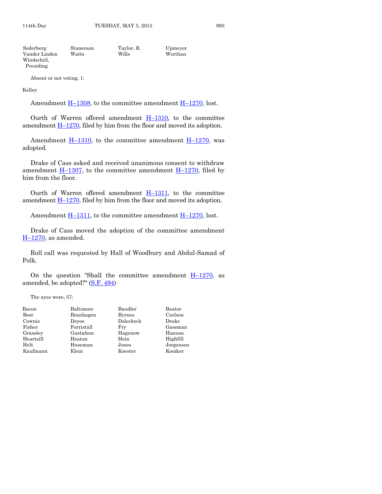| Soderberg     | Stanerson | Taylor, R. | Upmeyer |
|---------------|-----------|------------|---------|
| Vander Linden | Watts     | Wills      | Worthan |
| Windschitl.   |           |            |         |
| Presiding     |           |            |         |

Kelley

Amendment  $\underline{H-1308}$ , to the committee amendment  $\underline{H-1270}$ , lost.

Ourth of Warren offered amendment H–[1310,](http://coolice.legis.iowa.gov/Cool-ICE/default.asp?Category=billinfo&Service=Billbook&frame=1&GA=86&hbill=H1310) to the committee amendment  $H-1270$ , filed by him from the floor and moved its adoption.

Amendment  $\underline{H-1310}$ , to the committee amendment  $\underline{H-1270}$ , was adopted.

Drake of Cass asked and received unanimous consent to withdraw amendment  $\underline{H}$ –[1307,](http://coolice.legis.iowa.gov/Cool-ICE/default.asp?Category=billinfo&Service=Billbook&frame=1&GA=86&hbill=H1307) to the committee amendment  $\underline{H}$ –[1270,](http://coolice.legis.iowa.gov/Cool-ICE/default.asp?Category=billinfo&Service=Billbook&frame=1&GA=86&hbill=H1270) filed by him from the floor.

Ourth of Warren offered amendment  $H-1311$ , to the committee amendment  $\underline{H-1270}$ , filed by him from the floor and moved its adoption.

Amendment  $\underline{H-1311}$ , to the committee amendment  $\underline{H-1270}$ , lost.

Drake of Cass moved the adoption of the committee amendment  $H-1270$ , as amended.

Roll call was requested by Hall of Woodbury and Abdul-Samad of Polk.

On the question "Shall the committee amendment  $H-1270$ , as amended, be adopted?" [\(S.F. 494\)](http://coolice.legis.iowa.gov/Cool-ICE/default.asp?Category=billinfo&Service=Billbook&frame=1&GA=86&hbill=SF494)

The ayes were, 57:

| Bacon     | Baltimore  | Baudler       | Baxter    |
|-----------|------------|---------------|-----------|
| Best      | Branhagen  | <b>Byrnes</b> | Carlson   |
| Cownie    | Devoe      | Dolecheck     | Drake     |
| Fisher    | Forristall | Fry           | Gassman   |
| Grassley  | Gustafson  | Hagenow       | Hanusa    |
| Heartsill | Heaton     | Hein          | Highfill  |
| Holt      | Huseman    | Jones         | Jorgensen |
| Kaufmann  | Klein      | Koester       | Kooiker   |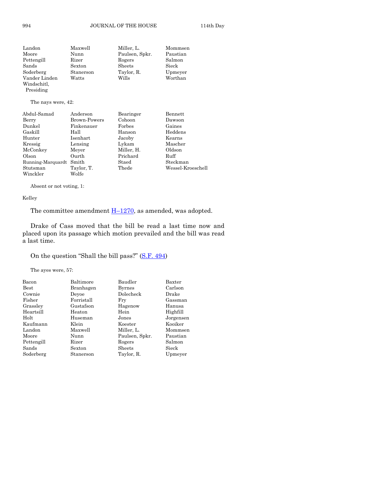| Landon             | Maxwell   | Miller, L.     | Mommsen  |
|--------------------|-----------|----------------|----------|
| Moore              | Nunn      | Paulsen, Spkr. | Paustian |
| Pettengill         | Rizer     | Rogers         | Salmon   |
| Sands              | Sexton    | Sheets         | Sieck    |
| Soderberg          | Stanerson | Taylor, R.     | Upmeyer  |
| Vander Linden      | Watts     | Wills          | Worthan  |
| Windschitl,        |           |                |          |
| Presiding          |           |                |          |
| The nays were, 42: |           |                |          |
| Abdul-Samad        | Anderson  | Bearinger      | Bennett  |

| .                       |              | ---------  |                   |
|-------------------------|--------------|------------|-------------------|
| Berry                   | Brown-Powers | Cohoon     | Dawson            |
| Dunkel                  | Finkenauer   | Forbes     | Gaines            |
| Gaskill                 | Hall         | Hanson     | Heddens           |
| Hunter                  | Isenhart     | Jacoby     | Kearns            |
| Kressig                 | Lensing      | Lykam      | Mascher           |
| McConkey                | Meyer        | Miller, H. | Oldson            |
| Olson                   | Ourth        | Prichard   | Ruff              |
| Running-Marquardt Smith |              | Staed      | Steckman          |
| Stutsman                | Taylor, T.   | Thede      | Wessel-Kroeschell |
| Winckler                | Wolfe        |            |                   |
|                         |              |            |                   |

Kelley

The committee amendment  $H-1270$ , as amended, was adopted.

Drake of Cass moved that the bill be read a last time now and placed upon its passage which motion prevailed and the bill was read a last time.

On the question "Shall the bill pass?" ([S.F. 494\)](http://coolice.legis.iowa.gov/Cool-ICE/default.asp?Category=billinfo&Service=Billbook&frame=1&GA=86&hbill=SF494)

The ayes were, 57:

| Bacon         | Baltimore  | Baudler        | Baxter    |
|---------------|------------|----------------|-----------|
| $_{\rm Best}$ | Branhagen  | <b>Byrnes</b>  | Carlson   |
| Cownie        | Devoe      | Dolecheck      | Drake     |
| Fisher        | Forristall | Fry            | Gassman   |
| Grassley      | Gustafson  | Hagenow        | Hanusa    |
| Heartsill     | Heaton     | Hein           | Highfill  |
| Holt          | Huseman    | Jones          | Jorgensen |
| Kaufmann      | Klein      | Koester        | Kooiker   |
| Landon        | Maxwell    | Miller, L.     | Mommsen   |
| Moore         | Nunn       | Paulsen, Spkr. | Paustian  |
| Pettengill    | Rizer      | Rogers         | Salmon    |
| Sands         | Sexton     | Sheets         | Sieck     |
| Soderberg     | Stanerson  | Taylor, R.     | Upmeyer   |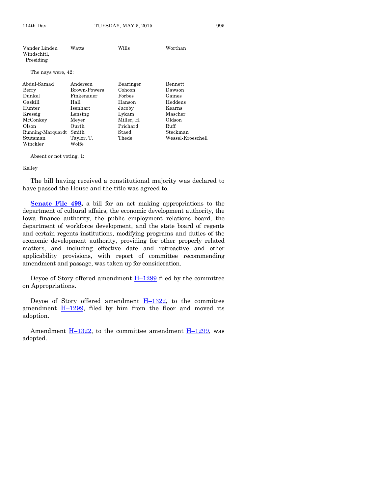| Vander Linden<br>Windschitl.<br>Presiding | Watts        | Wills      | Worthan           |
|-------------------------------------------|--------------|------------|-------------------|
| The nays were, 42:                        |              |            |                   |
| Abdul-Samad                               | Anderson     | Bearinger  | Bennett           |
| Berry                                     | Brown-Powers | Cohoon     | Dawson            |
| Dunkel                                    | Finkenauer   | Forbes     | Gaines            |
| Gaskill                                   | Hall         | Hanson     | Heddens           |
| Hunter                                    | Isenhart     | Jacoby     | Kearns            |
| Kressig                                   | Lensing      | Lykam      | Mascher           |
| McConkey                                  | Meyer        | Miller, H. | Oldson            |
| Olson                                     | Ourth        | Prichard   | Ruff              |
| Running-Marquardt                         | Smith        | Staed      | Steckman          |
| Stutsman                                  | Taylor, T.   | Thede      | Wessel-Kroeschell |
| Winckler                                  | Wolfe        |            |                   |

#### Kelley

The bill having received a constitutional majority was declared to have passed the House and the title was agreed to.

**[Senate File 499,](http://coolice.legis.iowa.gov/Cool-ICE/default.asp?Category=billinfo&Service=Billbook&frame=1&GA=86&hbill=SF499)** a bill for an act making appropriations to the department of cultural affairs, the economic development authority, the Iowa finance authority, the public employment relations board, the department of workforce development, and the state board of regents and certain regents institutions, modifying programs and duties of the economic development authority, providing for other properly related matters, and including effective date and retroactive and other applicability provisions, with report of committee recommending amendment and passage, was taken up for consideration.

Deyoe of Story offered amendment  $H-1299$  $H-1299$  filed by the committee on Appropriations.

Deyoe of Story offered amendment  $H-1322$ , to the committee amendment  $\underline{H-1299}$ , filed by him from the floor and moved its adoption.

Amendment  $\underline{H}$ –[1322,](http://coolice.legis.iowa.gov/Cool-ICE/default.asp?Category=billinfo&Service=Billbook&frame=1&GA=86&hbill=H1322) to the committee amendment  $\underline{H}$ –[1299,](http://coolice.legis.iowa.gov/Cool-ICE/default.asp?Category=billinfo&Service=Billbook&frame=1&GA=86&hbill=H1299) was adopted.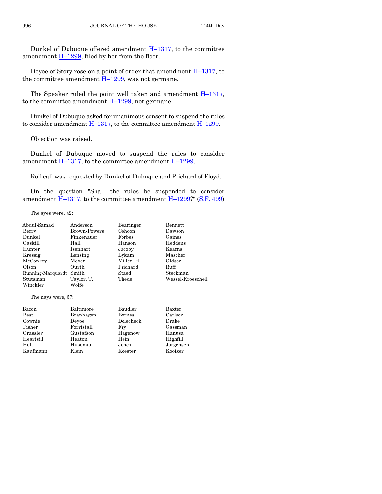Dunkel of Dubuque offered amendment H–[1317,](http://coolice.legis.iowa.gov/Cool-ICE/default.asp?Category=billinfo&Service=Billbook&frame=1&GA=86&hbill=H1317) to the committee amendment  $H-1299$ , filed by her from the floor.

Deyoe of Story rose on a point of order that amendment  $H-1317$ , to the committee amendment  $H-1299$ , was not germane.

The Speaker ruled the point well taken and amendment  $H-1317$ , to the committee amendment  $H-1299$ , not germane.

Dunkel of Dubuque asked for unanimous consent to suspend the rules to consider amendment  $H-1317$ , to the committee amendment  $H-1299$ .

Objection was raised.

Dunkel of Dubuque moved to suspend the rules to consider amendment  $\underline{H-1317}$ , to the committee amendment  $\underline{H-1299}$ .

Roll call was requested by Dunkel of Dubuque and Prichard of Floyd.

On the question "Shall the rules be suspended to consider amendment  $\underline{H-1317}$ , to the committee amendment  $\underline{H-1299}$ ?" [\(S.F. 499\)](http://coolice.legis.iowa.gov/Cool-ICE/default.asp?Category=billinfo&Service=Billbook&frame=1&GA=86&hbill=SF499)

The ayes were, 42:

| Abdul-Samad             | Anderson     | Bearinger  | Bennett           |
|-------------------------|--------------|------------|-------------------|
| Berry                   | Brown-Powers | Cohoon     | Dawson            |
| Dunkel                  | Finkenauer   | Forbes     | Gaines            |
| Gaskill                 | Hall         | Hanson     | Heddens           |
| Hunter                  | Isenhart     | Jacoby     | Kearns            |
| Kressig                 | Lensing      | Lykam      | Mascher           |
| McConkey                | Meyer        | Miller, H. | Oldson            |
| Olson                   | Ourth        | Prichard   | Ruff              |
| Running-Marquardt Smith |              | Staed      | Steckman          |
| Stutsman                | Taylor, T.   | Thede      | Wessel-Kroeschell |
| Winckler                | Wolfe        |            |                   |

The nays were, 57:

| Bacon       | Baltimore  | Baudler       | Baxter    |
|-------------|------------|---------------|-----------|
| <b>Best</b> | Branhagen  | <b>Byrnes</b> | Carlson   |
| Cownie      | Devoe      | Dolecheck     | Drake     |
| Fisher      | Forristall | Frv           | Gassman   |
| Grassley    | Gustafson  | Hagenow       | Hanusa    |
| Heartsill   | Heaton     | Hein          | Highfill  |
| Holt        | Huseman    | Jones         | Jorgensen |
| Kaufmann    | Klein      | Koester       | Kooiker   |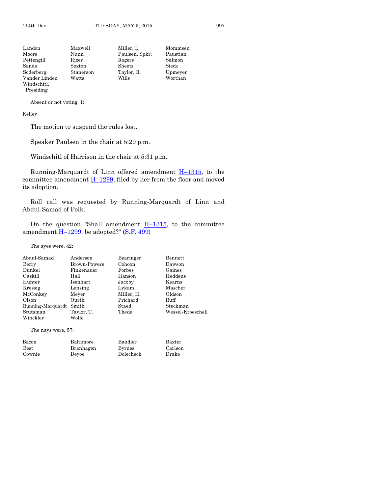| Landon        | Maxwell   | Miller, L.     | Mommsen  |
|---------------|-----------|----------------|----------|
| Moore         | Nunn      | Paulsen, Spkr. | Paustian |
| Pettengill    | Rizer     | Rogers         | Salmon   |
| Sands         | Sexton    | Sheets         | Sieck    |
| Soderberg     | Stanerson | Taylor, R.     | Upmeyer  |
| Vander Linden | Watts     | Wills          | Worthan  |
| Windschitl,   |           |                |          |
| Presiding     |           |                |          |

Kelley

The motion to suspend the rules lost.

Speaker Paulsen in the chair at 5:29 p.m.

Windschitl of Harrison in the chair at 5:31 p.m.

Running-Marquardt of Linn offered amendment  $H-1315$ , to the committee amendment  $H-1299$ , filed by her from the floor and moved its adoption.

Roll call was requested by Running-Marquardt of Linn and Abdul-Samad of Polk.

On the question "Shall amendment  $H-1315$ , to the committee amendment  $H-1299$ , be adopted?" [\(S.F. 499\)](http://coolice.legis.iowa.gov/Cool-ICE/default.asp?Category=billinfo&Service=Billbook&frame=1&GA=86&hbill=SF499)

The ayes were, 42:

| Abdul-Samad             | Anderson     | Bearinger  | Bennett           |
|-------------------------|--------------|------------|-------------------|
| Berry                   | Brown-Powers | Cohoon     | Dawson            |
| Dunkel                  | Finkenauer   | Forbes     | Gaines            |
| Gaskill                 | Hall         | Hanson     | Heddens           |
| Hunter                  | Isenhart     | Jacoby     | Kearns            |
| Kressig                 | Lensing      | Lykam      | Mascher           |
| McConkey                | Meyer        | Miller, H. | Oldson            |
| Olson                   | Ourth        | Prichard   | Ruff              |
| Running-Marquardt Smith |              | Staed      | Steckman          |
| Stutsman                | Taylor, T.   | Thede      | Wessel-Kroeschell |
| Winckler                | Wolfe        |            |                   |
|                         |              |            |                   |

The nays were, 57:

| Bacon       | Baltimore | Baudler       | Baxter  |
|-------------|-----------|---------------|---------|
| <b>Best</b> | Branhagen | <b>Byrnes</b> | Carlson |
| Cownie      | Devoe     | Dolecheck     | Drake   |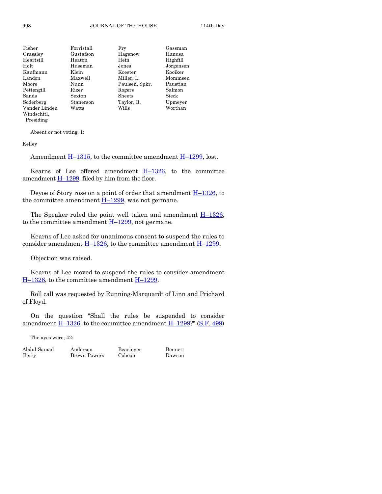| Fisher        | Forristall | Fry            | Gassman   |
|---------------|------------|----------------|-----------|
| Grassley      | Gustafson  | Hagenow        | Hanusa    |
| Heartsill     | Heaton     | Hein           | Highfill  |
| Holt          | Huseman    | Jones          | Jorgensen |
| Kaufmann      | Klein      | Koester        | Kooiker   |
| Landon        | Maxwell    | Miller, L.     | Mommsen   |
| Moore         | Nunn       | Paulsen, Spkr. | Paustian  |
| Pettengill    | Rizer      | Rogers         | Salmon    |
| Sands         | Sexton     | Sheets         | Sieck     |
| Soderberg     | Stanerson  | Taylor, R.     | Upmeyer   |
| Vander Linden | Watts      | Wills          | Worthan   |
| Windschitl,   |            |                |           |
| Presiding     |            |                |           |

Kelley

Amendment  $\underline{H-1315}$ , to the committee amendment  $\underline{H-1299}$ , lost.

Kearns of Lee offered amendment  $H-1326$ , to the committee amendment  $H-1299$ , filed by him from the floor.

Deyoe of Story rose on a point of order that amendment  $H-1326$ , to the committee amendment  $H-1299$ , was not germane.

The Speaker ruled the point well taken and amendment  $H-1326$ , to the committee amendment  $H-1299$ , not germane.

Kearns of Lee asked for unanimous consent to suspend the rules to consider amendment  $\underline{H-1326}$ , to the committee amendment  $\underline{H-1299}$ .

Objection was raised.

Kearns of Lee moved to suspend the rules to consider amendment H–[1326,](http://coolice.legis.iowa.gov/Cool-ICE/default.asp?Category=billinfo&Service=Billbook&frame=1&GA=86&hbill=H1326) to the committee amendment H–[1299.](http://coolice.legis.iowa.gov/Cool-ICE/default.asp?Category=billinfo&Service=Billbook&frame=1&GA=86&hbill=H1299)

Roll call was requested by Running-Marquardt of Linn and Prichard of Floyd.

On the question "Shall the rules be suspended to consider amendment  $\underline{H-1326}$ , to the committee amendment  $\underline{H-1299}$ ?" [\(S.F. 499\)](http://coolice.legis.iowa.gov/Cool-ICE/default.asp?Category=billinfo&Service=Billbook&frame=1&GA=86&hbill=SF499)

The ayes were, 42:

| Abdul-Samad | Anderson     | Bearinger | Bennett |
|-------------|--------------|-----------|---------|
| Berry       | Brown-Powers | Cohoon    | Dawson  |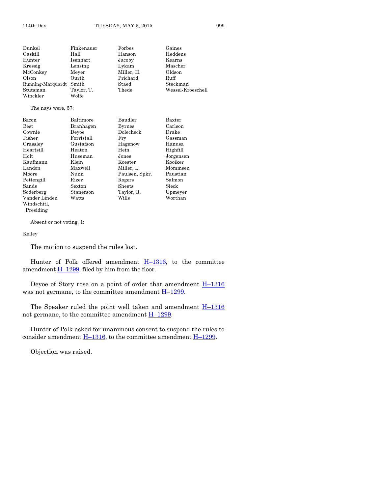| Dunkel                  | Finkenauer | Forbes     | Gaines            |
|-------------------------|------------|------------|-------------------|
| Gaskill                 | Hall       | Hanson     | Heddens           |
| Hunter                  | Isenhart   | Jacoby     | Kearns            |
| Kressig                 | Lensing    | Lykam      | Mascher           |
| McConkey                | Meyer      | Miller, H. | Oldson            |
| Olson                   | Ourth      | Prichard   | Ruff              |
| Running-Marquardt Smith |            | Staed      | Steckman          |
| Stutsman                | Taylor, T. | Thede      | Wessel-Kroeschell |
| Winckler                | Wolfe      |            |                   |

The nays were, 57:

| Bacon         | Baltimore  | Baudler        | Baxter    |
|---------------|------------|----------------|-----------|
| $_{\rm Best}$ | Branhagen  | <b>Byrnes</b>  | Carlson   |
| Cownie        | Devoe      | Dolecheck      | Drake     |
| Fisher        | Forristall | Frv            | Gassman   |
| Grassley      | Gustafson  | Hagenow        | Hanusa    |
| Heartsill     | Heaton     | Hein           | Highfill  |
| Holt          | Huseman    | Jones          | Jorgensen |
| Kaufmann      | Klein      | Koester        | Kooiker   |
| Landon        | Maxwell    | Miller, L.     | Mommsen   |
| Moore         | Nunn       | Paulsen, Spkr. | Paustian  |
| Pettengill    | Rizer      | Rogers         | Salmon    |
| Sands         | Sexton     | Sheets         | Sieck     |
| Soderberg     | Stanerson  | Taylor, R.     | Upmeyer   |
| Vander Linden | Watts      | Wills          | Worthan   |
| Windschitl.   |            |                |           |

Presiding

Absent or not voting, 1:

#### Kelley

The motion to suspend the rules lost.

Hunter of Polk offered amendment H–[1316,](http://coolice.legis.iowa.gov/Cool-ICE/default.asp?Category=billinfo&Service=Billbook&frame=1&GA=86&hbill=H1316) to the committee amendment  $H-1299$ , filed by him from the floor.

Deyoe of Story rose on a point of order that amendment  $H-1316$  $H-1316$ was not germane, to the committee amendment  $H-1299$ .

The Speaker ruled the point well taken and amendment  $H-1316$  $H-1316$ not germane, to the committee amendment  $H-1299$ .

Hunter of Polk asked for unanimous consent to suspend the rules to consider amendment  $\underline{H-1316}$ , to the committee amendment  $\underline{H-1299}$ .

Objection was raised.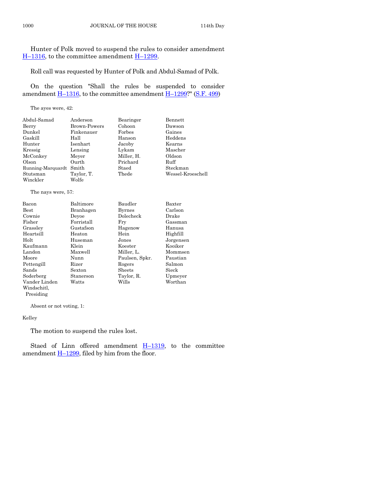Hunter of Polk moved to suspend the rules to consider amendment  $H-1316$ , to the committee amendment  $H-1299$ .

Roll call was requested by Hunter of Polk and Abdul-Samad of Polk.

On the question "Shall the rules be suspended to consider amendment  $H-1316$ , to the committee amendment  $H-1299$ ?" [\(S.F. 499\)](http://coolice.legis.iowa.gov/Cool-ICE/default.asp?Category=billinfo&Service=Billbook&frame=1&GA=86&hbill=SF499)

The ayes were, 42:

| Abdul-Samad       | Anderson     | Bearinger  | Bennett           |
|-------------------|--------------|------------|-------------------|
| Berry             | Brown-Powers | Cohoon     | Dawson            |
| Dunkel            | Finkenauer   | Forbes     | Gaines            |
| Gaskill           | Hall         | Hanson     | Heddens           |
| Hunter            | Isenhart     | Jacoby     | Kearns            |
| Kressig           | Lensing      | Lykam      | Mascher           |
| McConkey          | Meyer        | Miller, H. | Oldson            |
| Olson             | Ourth        | Prichard   | Ruff              |
| Running-Marquardt | Smith        | Staed      | Steckman          |
| Stutsman          | Taylor, T.   | Thede      | Wessel-Kroeschell |
| Winckler          | Wolfe        |            |                   |

The nays were, 57:

| Bacon         | Baltimore  | Baudler        | Baxter    |
|---------------|------------|----------------|-----------|
| <b>Best</b>   | Branhagen  | <b>Byrnes</b>  | Carlson   |
| Cownie        | Devoe      | Dolecheck      | Drake     |
| Fisher        | Forristall | Frv            | Gassman   |
| Grassley      | Gustafson  | Hagenow        | Hanusa    |
| Heartsill     | Heaton     | Hein           | Highfill  |
| Holt          | Huseman    | Jones          | Jorgensen |
| Kaufmann      | Klein      | Koester        | Kooiker   |
| Landon        | Maxwell    | Miller, L.     | Mommsen   |
| Moore         | Nunn       | Paulsen, Spkr. | Paustian  |
| Pettengill    | Rizer      | Rogers         | Salmon    |
| Sands         | Sexton     | Sheets         | Sieck     |
| Soderberg     | Stanerson  | Taylor, R.     | Upmeyer   |
| Vander Linden | Watts      | Wills          | Worthan   |
| Windschitl.   |            |                |           |

Absent or not voting, 1:

Kelley

Presiding

The motion to suspend the rules lost.

Staed of Linn offered amendment  $H-1319$ , to the committee amendment  $\underline{H-1299}$ , filed by him from the floor.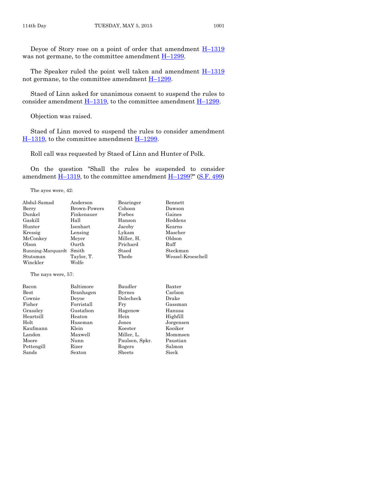Deyoe of Story rose on a point of order that amendment H–[1319](http://coolice.legis.iowa.gov/Cool-ICE/default.asp?Category=billinfo&Service=Billbook&frame=1&GA=86&hbill=H1319) was not germane, to the committee amendment  $H-1299$ .

The Speaker ruled the point well taken and amendment  $H-1319$  $H-1319$ not germane, to the committee amendment  $\underline{H}$ -[1299.](http://coolice.legis.iowa.gov/Cool-ICE/default.asp?Category=billinfo&Service=Billbook&frame=1&GA=86&hbill=H1299)

Staed of Linn asked for unanimous consent to suspend the rules to consider amendment  $H-1319$ , to the committee amendment  $H-1299$ .

Objection was raised.

Staed of Linn moved to suspend the rules to consider amendment  $H-1319$ , to the committee amendment  $H-1299$ .

Roll call was requested by Staed of Linn and Hunter of Polk.

On the question "Shall the rules be suspended to consider amendment  $\underline{H-1319}$ , to the committee amendment  $\underline{H-1299}$ ?" [\(S.F. 499\)](http://coolice.legis.iowa.gov/Cool-ICE/default.asp?Category=billinfo&Service=Billbook&frame=1&GA=86&hbill=SF499)

The ayes were, 42:

| Abdul-Samad        | Anderson            | Bearinger      | Bennett           |
|--------------------|---------------------|----------------|-------------------|
| Berry              | <b>Brown-Powers</b> | Cohoon         | Dawson            |
| Dunkel             | Finkenauer          | Forbes         | Gaines            |
| Gaskill            | Hall                | Hanson         | Heddens           |
| Hunter             | Isenhart            | Jacoby         | Kearns            |
| Kressig            | Lensing             | Lykam          | Mascher           |
| McConkey           | Meyer               | Miller, H.     | Oldson            |
| Olson              | Ourth               | Prichard       | Ruff              |
| Running-Marquardt  | Smith               | Staed          | Steckman          |
| Stutsman           | Taylor, T.          | Thede          | Wessel-Kroeschell |
| Winckler           | Wolfe               |                |                   |
| The nays were, 57: |                     |                |                   |
| Bacon              | Baltimore           | Baudler        | Baxter            |
| Best               | Branhagen           | <b>Byrnes</b>  | Carlson           |
| Cownie             | Devoe               | Dolecheck      | Drake             |
| Fisher             | Forristall          | Fry            | Gassman           |
| Grassley           | Gustafson           | Hagenow        | Hanusa            |
| Heartsill          | Heaton              | Hein           | Highfill          |
| Holt               | Huseman             | Jones          | Jorgensen         |
| Kaufmann           | Klein               | Koester        | Kooiker           |
| Landon             | Maxwell             | Miller, L.     | Mommsen           |
| Moore              | Nunn                | Paulsen, Spkr. | Paustian          |
| Pettengill         | Rizer               | Rogers         | Salmon            |

Sands Sexton Sheets Sieck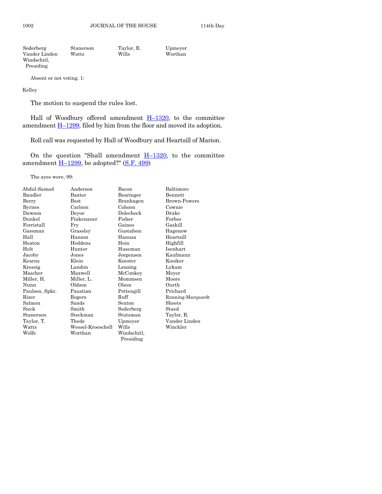| Soderberg     | Stanerson | Taylor, R. | Upmeyer |
|---------------|-----------|------------|---------|
| Vander Linden | Watts     | Wills      | Worthan |
| Windschitl.   |           |            |         |
| Presiding     |           |            |         |

Kelley

The motion to suspend the rules lost.

Hall of Woodbury offered amendment  $H-1320$ , to the committee amendment  $\underline{H-1299}$ , filed by him from the floor and moved its adoption.

Roll call was requested by Hall of Woodbury and Heartsill of Marion.

On the question "Shall amendment  $H-1320$ , to the committee amendment  $\underline{H-1299}$ , be adopted?" [\(S.F. 499\)](http://coolice.legis.iowa.gov/Cool-ICE/default.asp?Category=billinfo&Service=Billbook&frame=1&GA=86&hbill=SF499)

The ayes were, 99:

| Abdul-Samad    | Anderson          | Bacon                    | Baltimore           |
|----------------|-------------------|--------------------------|---------------------|
| Baudler        | Baxter            | Bearinger                | Bennett             |
| Berry          | $_{\rm Best}$     | Branhagen                | <b>Brown-Powers</b> |
| <b>Byrnes</b>  | Carlson           | Cohoon                   | Cownie              |
| Dawson         | Deyoe             | Dolecheck                | Drake               |
| Dunkel         | Finkenauer        | Fisher                   | Forbes              |
| Forristall     | Fry               | Gaines                   | Gaskill             |
| Gassman        | Grassley          | Gustafson                | Hagenow             |
| Hall           | Hanson            | Hanusa                   | Heartsill           |
| Heaton         | Heddens           | Hein                     | Highfill            |
| Holt           | Hunter            | Huseman                  | Isenhart            |
| Jacoby         | Jones             | Jorgensen                | Kaufmann            |
| Kearns         | Klein             | Koester                  | Kooiker             |
| Kressig        | Landon            | Lensing                  | Lykam               |
| Mascher        | Maxwell           | McConkey                 | Meyer               |
| Miller, H.     | Miller, L.        | Mommsen                  | Moore               |
| Nunn           | Oldson            | Olson                    | Ourth               |
| Paulsen, Spkr. | Paustian          | Pettengill               | Prichard            |
| Rizer          | Rogers            | Ruff                     | Running-Marquardt   |
| Salmon         | Sands             | Sexton                   | <b>Sheets</b>       |
| Sieck          | Smith             | Soderberg                | Staed               |
| Stanerson      | Steckman          | Stutsman                 | Taylor, R.          |
| Taylor, T.     | Thede             | Upmeyer                  | Vander Linden       |
| Watts          | Wessel-Kroeschell | Wills                    | Winckler            |
| Wolfe          | Worthan           | Windschitl,<br>Presiding |                     |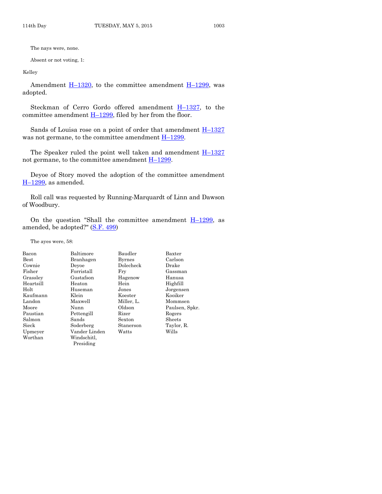The nays were, none.

Absent or not voting, 1:

Kelley

Amendment  $\underline{H}$ –[1320,](http://coolice.legis.iowa.gov/Cool-ICE/default.asp?Category=billinfo&Service=Billbook&frame=1&GA=86&hbill=H1320) to the committee amendment  $\underline{H}$ –[1299,](http://coolice.legis.iowa.gov/Cool-ICE/default.asp?Category=billinfo&Service=Billbook&frame=1&GA=86&hbill=H1299) was adopted.

Steckman of Cerro Gordo offered amendment  $H-1327$ , to the committee amendment  $H-1299$ , filed by her from the floor.

Sands of Louisa rose on a point of order that amendment  $H-1327$  $H-1327$ was not germane, to the committee amendment  $H-1299$ .

The Speaker ruled the point well taken and amendment  $H-1327$  $H-1327$ not germane, to the committee amendment  $H-1299$ .

Deyoe of Story moved the adoption of the committee amendment  $H-1299$ , as amended.

Roll call was requested by Running-Marquardt of Linn and Dawson of Woodbury.

On the question "Shall the committee amendment H–[1299,](http://coolice.legis.iowa.gov/Cool-ICE/default.asp?Category=billinfo&Service=Billbook&frame=1&GA=86&hbill=H1299) as amended, be adopted?" [\(S.F. 499\)](http://coolice.legis.iowa.gov/Cool-ICE/default.asp?Category=billinfo&Service=Billbook&frame=1&GA=86&hbill=SF499)

The ayes were, 58:

| Bacon         | Baltimore     | Baudler       | Baxter         |
|---------------|---------------|---------------|----------------|
| $_{\rm Best}$ | Branhagen     | <b>Byrnes</b> | Carlson        |
| Cownie        | Deyoe         | Dolecheck     | Drake          |
| Fisher        | Forristall    | Fry           | Gassman        |
| Grassley      | Gustafson     | Hagenow       | Hanusa         |
| Heartsill     | Heaton        | Hein          | Highfill       |
| Holt          | Huseman       | Jones         | Jorgensen      |
| Kaufmann      | Klein         | Koester       | Kooiker        |
| Landon        | Maxwell       | Miller, L.    | Mommsen        |
| Moore         | Nunn          | Oldson        | Paulsen, Spkr. |
| Paustian      | Pettengill    | Rizer         | Rogers         |
| Salmon        | Sands         | Sexton        | Sheets         |
| Sieck         | Soderberg     | Stanerson     | Taylor, R.     |
| Upmeyer       | Vander Linden | Watts         | Wills          |
| Worthan       | Windschitl.   |               |                |
|               | Presiding     |               |                |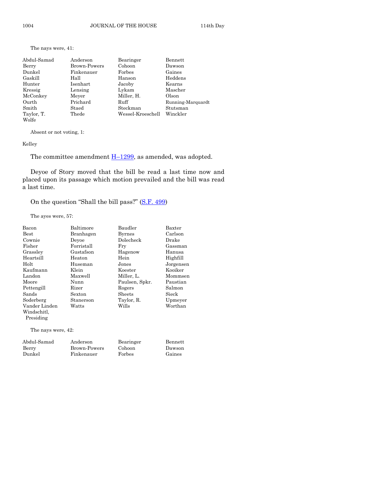The nays were, 41:

| Abdul-Samad | Anderson     | Bearinger         | Bennett           |
|-------------|--------------|-------------------|-------------------|
| Berry       | Brown-Powers | Cohoon            | Dawson            |
| Dunkel      | Finkenauer   | $\rm{Forbes}$     | Gaines            |
| Gaskill     | Hall         | Hanson            | Heddens           |
| Hunter      | Isenhart     | Jacoby            | Kearns            |
| Kressig     | Lensing      | Lykam             | Mascher           |
| McConkey    | Meyer        | Miller, H.        | Olson             |
| Ourth       | Prichard     | Ruff              | Running-Marquardt |
| Smith       | Staed        | Steckman          | Stutsman          |
| Taylor, T.  | Thede        | Wessel-Kroeschell | Winckler          |
| Wolfe       |              |                   |                   |

Absent or not voting, 1:

Kelley

The committee amendment  $\underline{H-1299}$ , as amended, was adopted.

Deyoe of Story moved that the bill be read a last time now and placed upon its passage which motion prevailed and the bill was read a last time.

On the question "Shall the bill pass?" ([S.F. 499\)](http://coolice.legis.iowa.gov/Cool-ICE/default.asp?Category=billinfo&Service=Billbook&frame=1&GA=86&hbill=SF499)

The ayes were, 57:

| Bacon         | Baltimore  | Baudler        | Baxter    |
|---------------|------------|----------------|-----------|
| <b>Best</b>   | Branhagen  | <b>Byrnes</b>  | Carlson   |
| Cownie        | Devoe      | Dolecheck      | Drake     |
| Fisher        | Forristall | Frv            | Gassman   |
| Grassley      | Gustafson  | Hagenow        | Hanusa    |
| Heartsill     | Heaton     | Hein           | Highfill  |
| Holt          | Huseman    | Jones          | Jorgensen |
| Kaufmann      | Klein      | Koester        | Kooiker   |
| Landon        | Maxwell    | Miller, L.     | Mommsen   |
| Moore         | Nunn       | Paulsen, Spkr. | Paustian  |
| Pettengill    | Rizer      | Rogers         | Salmon    |
| Sands         | Sexton     | Sheets         | Sieck     |
| Soderberg     | Stanerson  | Taylor, R.     | Upmeyer   |
| Vander Linden | Watts      | Wills          | Worthan   |
| Windschitl.   |            |                |           |
| Presiding     |            |                |           |
|               |            |                |           |

The nays were, 42:

| Abdul-Samad | Anderson     | Bearinger | Bennett |
|-------------|--------------|-----------|---------|
| Berry       | Brown-Powers | Cohoon    | Dawson  |
| Dunkel      | Finkenauer   | Forbes    | Gaines  |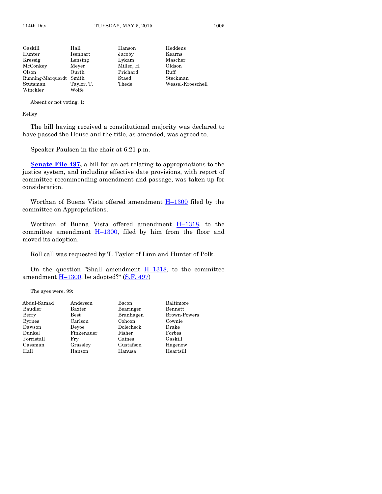| Gaskill                 | Hall       | Hanson     | Heddens           |
|-------------------------|------------|------------|-------------------|
| Hunter                  | Isenhart   | Jacoby     | Kearns            |
| Kressig                 | Lensing    | Lykam      | Mascher           |
| McConkey                | Meyer      | Miller, H. | Oldson            |
| Olson                   | Ourth      | Prichard   | Ruff              |
| Running-Marquardt Smith |            | Staed      | Steckman          |
| Stutsman                | Taylor, T. | Thede      | Wessel-Kroeschell |
| Winckler                | Wolfe      |            |                   |

Kelley

The bill having received a constitutional majority was declared to have passed the House and the title, as amended, was agreed to.

Speaker Paulsen in the chair at 6:21 p.m.

**[Senate File 497,](http://coolice.legis.iowa.gov/Cool-ICE/default.asp?Category=billinfo&Service=Billbook&frame=1&GA=86&hbill=SF497)** a bill for an act relating to appropriations to the justice system, and including effective date provisions, with report of committee recommending amendment and passage, was taken up for consideration.

Worthan of Buena Vista offered amendment  $H-1300$  $H-1300$  filed by the committee on Appropriations.

Worthan of Buena Vista offered amendment H–[1318,](http://coolice.legis.iowa.gov/Cool-ICE/default.asp?Category=billinfo&Service=Billbook&frame=1&GA=86&hbill=H1318) to the committee amendment  $H-1300$ , filed by him from the floor and moved its adoption.

Roll call was requested by T. Taylor of Linn and Hunter of Polk.

On the question "Shall amendment  $H-1318$ , to the committee amendment  $H-1300$ , be adopted?" [\(S.F. 497\)](http://coolice.legis.iowa.gov/Cool-ICE/default.asp?Category=billinfo&Service=Billbook&frame=1&GA=86&hbill=SF497)

The ayes were, 99:

| Abdul-Samad   | Anderson    | Bacon     | Baltimore           |
|---------------|-------------|-----------|---------------------|
| Baudler       | Baxter      | Bearinger | Bennett             |
| Berry         | <b>Best</b> | Branhagen | <b>Brown-Powers</b> |
| <b>Byrnes</b> | Carlson     | Cohoon    | Cownie              |
| Dawson        | Devoe       | Dolecheck | Drake               |
| Dunkel        | Finkenauer  | Fisher    | Forbes              |
| Forristall    | Fry         | Gaines    | Gaskill             |
| Gassman       | Grassley    | Gustafson | Hagenow             |
| Hall          | Hanson      | Hanusa    | Heartsill           |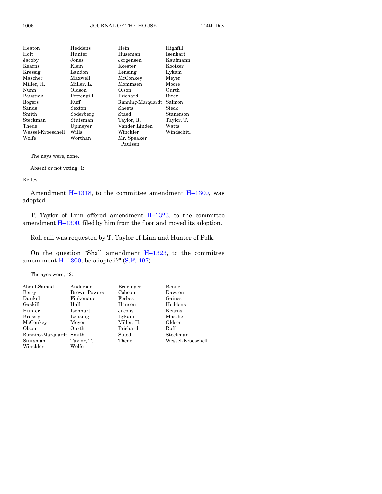| Heaton            | Heddens    | Hein              | Highfill   |
|-------------------|------------|-------------------|------------|
| $_{\rm Holt}$     | Hunter     | Huseman           | Isenhart   |
| Jacoby            | Jones      | Jorgensen         | Kaufmann   |
| Kearns            | Klein      | Koester           | Kooiker    |
| $\rm Kressi$ g    | Landon     | Lensing           | Lykam      |
| $\rm Maseher$     | Maxwell    | McConkey          | Meyer      |
| Miller, H.        | Miller, L. | Mommsen           | Moore      |
| Nunn              | Oldson     | Olson             | Ourth      |
| Paustian          | Pettengill | Prichard          | Rizer      |
| Rogers            | Ruff       | Running-Marquardt | Salmon     |
| Sands             | Sexton     | Sheets            | Sieck      |
| Smith             | Soderberg  | Staed             | Stanerson  |
| Steckman          | Stutsman   | Taylor, R.        | Taylor, T. |
| Thede             | Upmeyer    | Vander Linden     | Watts      |
| Wessel-Kroeschell | Wills      | Winckler          | Windschitl |
| Wolfe             | Worthan    | Mr. Speaker       |            |
|                   |            | Paulsen           |            |

The nays were, none.

Absent or not voting, 1:

#### Kelley

Amendment  $\underline{H-1318}$ , to the committee amendment  $\underline{H-1300}$ , was adopted.

T. Taylor of Linn offered amendment  $H-1323$ , to the committee amendment  $\underline{H-1300}$ , filed by him from the floor and moved its adoption.

Roll call was requested by T. Taylor of Linn and Hunter of Polk.

On the question "Shall amendment  $H-1323$ , to the committee amendment  $\underline{H-1300}$ , be adopted?" [\(S.F. 497\)](http://coolice.legis.iowa.gov/Cool-ICE/default.asp?Category=billinfo&Service=Billbook&frame=1&GA=86&hbill=SF497)

The ayes were, 42:

| Abdul-Samad             | Anderson     | Bearinger  | Bennett           |
|-------------------------|--------------|------------|-------------------|
| Berry                   | Brown-Powers | Cohoon     | Dawson            |
| Dunkel                  | Finkenauer   | Forbes     | Gaines            |
| Gaskill                 | Hall         | Hanson     | Heddens           |
| Hunter                  | Isenhart     | Jacoby     | Kearns            |
| Kressig                 | Lensing      | Lykam      | Mascher           |
| McConkey                | Meyer        | Miller, H. | Oldson            |
| Olson                   | Ourth        | Prichard   | Ruff              |
| Running-Marquardt Smith |              | Staed      | Steckman          |
| Stutsman                | Taylor, T.   | Thede      | Wessel-Kroeschell |
| Winckler                | Wolfe        |            |                   |
|                         |              |            |                   |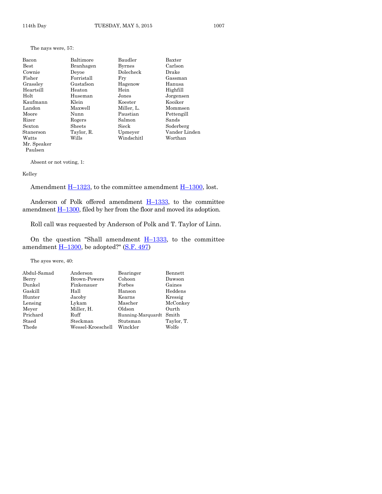#### The nays were, 57:

| Bacon                 | Baltimore  | Baudler       | Baxter        |
|-----------------------|------------|---------------|---------------|
| $_{\rm Best}$         | Branhagen  | <b>Byrnes</b> | Carlson       |
| Cownie                | Devoe      | Dolecheck     | Drake         |
| Fisher                | Forristall | Fry           | Gassman       |
| Grassley              | Gustafson  | Hagenow       | Hanusa        |
| Heartsill             | Heaton     | Hein          | Highfill      |
| Holt                  | Huseman    | Jones         | Jorgensen     |
| Kaufmann              | Klein      | Koester       | Kooiker       |
| Landon                | Maxwell    | Miller, L.    | Mommsen       |
| Moore                 | Nunn       | Paustian      | Pettengill    |
| Rizer                 | Rogers     | Salmon        | Sands         |
| Sexton                | Sheets     | Sieck         | Soderberg     |
| Stanerson             | Taylor, R. | Upmeyer       | Vander Linden |
| Watts                 | Wills      | Windschitl    | Worthan       |
| $\mathbf{r}$ $\alpha$ |            |               |               |

Mr. Speaker Paulsen

Absent or not voting, 1:

#### Kelley

Amendment  $H-1323$ , to the committee amendment  $H-1300$ , lost.

Anderson of Polk offered amendment  $H-1333$ , to the committee amendment  $H-1300$ , filed by her from the floor and moved its adoption.

Roll call was requested by Anderson of Polk and T. Taylor of Linn.

On the question "Shall amendment  $H-1333$ , to the committee amendment  $\underline{H-1300}$ , be adopted?" [\(S.F.](http://coolice.legis.iowa.gov/Cool-ICE/default.asp?Category=billinfo&Service=Billbook&frame=1&GA=86&hbill=SF497) 497)

The ayes were, 40:

| Abdul-Samad | Anderson            | Bearinger               | Bennett    |
|-------------|---------------------|-------------------------|------------|
| Berry       | <b>Brown-Powers</b> | Cohoon                  | Dawson     |
| Dunkel      | Finkenauer          | $\rm{Forbes}$           | Gaines     |
| Gaskill     | Hall                | Hanson                  | Heddens    |
| Hunter      | Jacoby              | Kearns                  | Kressig    |
| Lensing     | Lykam               | Mascher                 | McConkey   |
| Meyer       | Miller, H.          | Oldson                  | Ourth      |
| Prichard    | Ruff                | Running-Marquardt Smith |            |
| Staed       | Steckman            | Stutsman                | Taylor, T. |
| Thede       | Wessel-Kroeschell   | Winckler                | Wolfe      |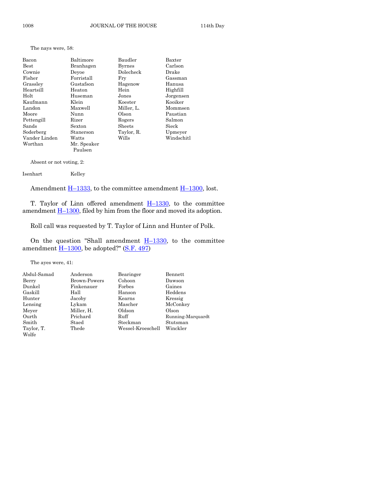The nays were, 58:

| Bacon         | Baltimore   | Baudler       | Baxter     |
|---------------|-------------|---------------|------------|
| <b>Best</b>   | Branhagen   | <b>Byrnes</b> | Carlson    |
| Cownie        | Devoe       | Dolecheck     | Drake      |
| Fisher        | Forristall  | Frv           | Gassman    |
| Grassley      | Gustafson   | Hagenow       | Hanusa     |
| Heartsill     | Heaton      | Hein          | Highfill   |
| Holt          | Huseman     | Jones         | Jorgensen  |
| Kaufmann      | Klein       | Koester       | Kooiker    |
| Landon        | Maxwell     | Miller, L.    | Mommsen    |
| Moore         | Nunn        | Olson         | Paustian   |
| Pettengill    | Rizer       | Rogers        | Salmon     |
| Sands         | Sexton      | Sheets        | Sieck      |
| Soderberg     | Stanerson   | Taylor, R.    | Upmeyer    |
| Vander Linden | Watts       | Wills         | Windschitl |
| Worthan       | Mr. Speaker |               |            |
|               | Paulsen     |               |            |

Absent or not voting, 2:

Isenhart Kelley

Amendment  $H-1333$ , to the committee amendment  $H-1300$ , lost.

T. Taylor of Linn offered amendment  $H-1330$ , to the committee amendment  $\underline{H-1300}$ , filed by him from the floor and moved its adoption.

Roll call was requested by T. Taylor of Linn and Hunter of Polk.

On the question "Shall amendment  $H-1330$ , to the committee amendment  $\underline{H-1300}$ , be adopted?" [\(S.F. 497\)](http://coolice.legis.iowa.gov/Cool-ICE/default.asp?Category=billinfo&Service=Billbook&frame=1&GA=86&hbill=SF497)

The ayes were, 41:

| Abdul-Samad | Anderson     | Bearinger         | Bennett           |
|-------------|--------------|-------------------|-------------------|
| Berry       | Brown-Powers | Cohoon            | Dawson            |
| Dunkel      | Finkenauer   | Forbes            | Gaines            |
| Gaskill     | Hall         | Hanson            | Heddens           |
| Hunter      | Jacoby       | Kearns            | Kressig           |
| Lensing     | Lykam        | Mascher           | McConkey          |
| Meyer       | Miller, H.   | Oldson            | Olson             |
| Ourth       | Prichard     | Ruff              | Running-Marquardt |
| Smith       | Staed        | Steckman          | Stutsman          |
| Taylor, T.  | Thede        | Wessel-Kroeschell | Winckler          |
| Wolfe       |              |                   |                   |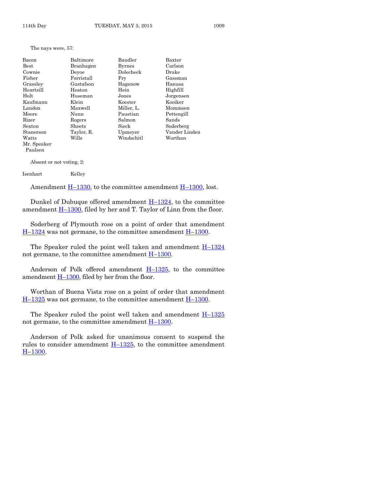| The nays were, 57: |  |  |  |
|--------------------|--|--|--|
|--------------------|--|--|--|

| Bacon         | Baltimore  | Baudler       | Baxter        |
|---------------|------------|---------------|---------------|
| $_{\rm Best}$ | Branhagen  | <b>Byrnes</b> | Carlson       |
| Cownie        | Devoe      | Dolecheck     | Drake         |
| Fisher        | Forristall | Frv           | Gassman       |
| Grassley      | Gustafson  | Hagenow       | Hanusa        |
| Heartsill     | Heaton     | Hein          | Highfill      |
| Holt          | Huseman    | Jones         | Jorgensen     |
| Kaufmann      | Klein      | Koester       | Kooiker       |
| Landon        | Maxwell    | Miller, L.    | Mommsen       |
| Moore         | Nunn       | Paustian      | Pettengill    |
| Rizer         | Rogers     | Salmon        | Sands         |
| Sexton        | Sheets     | Sieck         | Soderberg     |
| Stanerson     | Taylor, R. | Upmeyer       | Vander Linden |
| Watts         | Wills      | Windschitl    | Worthan       |
| Mr. Speaker   |            |               |               |

Isenhart Kelley

Paulsen

Amendment  $H-1330$ , to the committee amendment  $H-1300$ , lost.

Dunkel of Dubuque offered amendment  $H-1324$ , to the committee amendment  $H-1300$ , filed by her and T. Taylor of Linn from the floor.

Soderberg of Plymouth rose on a point of order that amendment  $H-1324$  $H-1324$  was not germane, to the committee amendment  $H-1300$ .

The Speaker ruled the point well taken and amendment  $H-1324$  $H-1324$ not germane, to the committee amendment  $H-1300$ .

Anderson of Polk offered amendment  $H-1325$ , to the committee amendment  $H-1300$ , filed by her from the floor.

Worthan of Buena Vista rose on a point of order that amendment  $H-1325$  $H-1325$  was not germane, to the committee amendment  $H-1300$ .

The Speaker ruled the point well taken and amendment  $H-1325$  $H-1325$ not germane, to the committee amendment  $H-1300$ .

Anderson of Polk asked for unanimous consent to suspend the rules to consider amendment  $H-1325$ , to the committee amendment H–[1300.](http://coolice.legis.iowa.gov/Cool-ICE/default.asp?Category=billinfo&Service=Billbook&frame=1&GA=86&hbill=H1300)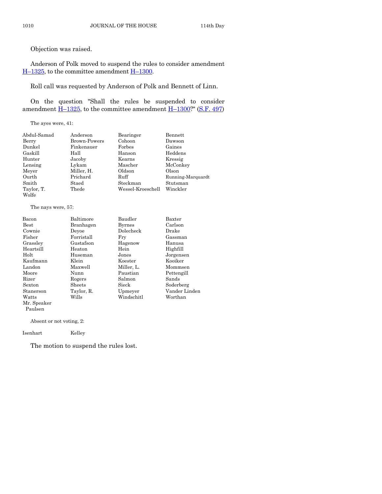Objection was raised.

Anderson of Polk moved to suspend the rules to consider amendment  $H-1325$ , to the committee amendment  $H-1300$ .

Roll call was requested by Anderson of Polk and Bennett of Linn.

On the question "Shall the rules be suspended to consider amendment  $\underline{H-1325}$ , to the committee amendment  $\underline{H-1300}$ ?" [\(S.F. 497\)](http://coolice.legis.iowa.gov/Cool-ICE/default.asp?Category=billinfo&Service=Billbook&frame=1&GA=86&hbill=SF497)

The ayes were, 41:

| Abdul-Samad | Anderson     | Bearinger         | Bennett           |
|-------------|--------------|-------------------|-------------------|
| Berry       | Brown-Powers | Cohoon            | Dawson            |
| Dunkel      | Finkenauer   | Forbes            | Gaines            |
| Gaskill     | Hall         | Hanson            | Heddens           |
| Hunter      | Jacoby       | Kearns            | Kressig           |
| Lensing     | Lykam        | Mascher           | McConkey          |
| Meyer       | Miller, H.   | Oldson            | Olson             |
| Ourth       | Prichard     | Ruff              | Running-Marquardt |
| Smith       | Staed        | Steckman          | Stutsman          |
| Taylor, T.  | Thede        | Wessel-Kroeschell | Winckler          |
| Wolfe       |              |                   |                   |

The nays were, 57:

| Bacon         | Baltimore  | Baudler       | Baxter        |
|---------------|------------|---------------|---------------|
| $_{\rm Best}$ | Branhagen  | <b>Byrnes</b> | Carlson       |
| Cownie        | Deyoe      | Dolecheck     | Drake         |
| Fisher        | Forristall | Frv           | Gassman       |
| Grassley      | Gustafson  | Hagenow       | Hanusa        |
| Heartsill     | Heaton     | Hein          | Highfill      |
| Holt          | Huseman    | Jones         | Jorgensen     |
| Kaufmann      | Klein      | Koester       | Kooiker       |
| Landon        | Maxwell    | Miller, L.    | Mommsen       |
| Moore         | Nunn       | Paustian      | Pettengill    |
| Rizer         | Rogers     | Salmon        | Sands         |
| Sexton        | Sheets     | Sieck         | Soderberg     |
| Stanerson     | Taylor, R. | Upmeyer       | Vander Linden |
| Watts         | Wills      | Windschitl    | Worthan       |
| Mr. Speaker   |            |               |               |

Absent or not voting, 2:

Isenhart Kelley

Paulsen

The motion to suspend the rules lost.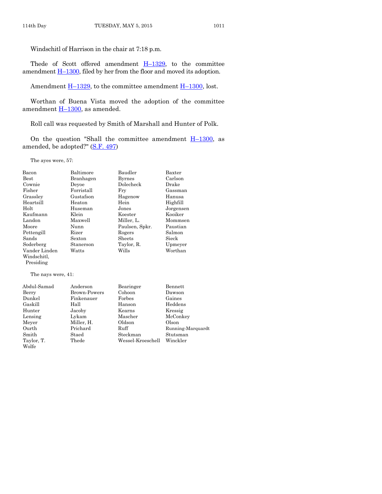Windschitl of Harrison in the chair at 7:18 p.m.

Thede of Scott offered amendment  $H-1329$ , to the committee amendment  $\underline{H-1300}$ , filed by her from the floor and moved its adoption.

Amendment  $H-1329$ , to the committee amendment  $H-1300$ , lost.

Worthan of Buena Vista moved the adoption of the committee amendment  $H-1300$ , as amended.

Roll call was requested by Smith of Marshall and Hunter of Polk.

On the question "Shall the committee amendment  $H-1300$ , as amended, be adopted?" [\(S.F. 497\)](http://coolice.legis.iowa.gov/Cool-ICE/default.asp?Category=billinfo&Service=Billbook&frame=1&GA=86&hbill=SF497)

The ayes were, 57:

| Bacon         | Baltimore  | Baudler        | Baxter    |
|---------------|------------|----------------|-----------|
| <b>Best</b>   | Branhagen  | <b>Byrnes</b>  | Carlson   |
| Cownie        | Devoe      | Dolecheck      | Drake     |
| Fisher        | Forristall | Frv            | Gassman   |
| Grassley      | Gustafson  | Hagenow        | Hanusa    |
| Heartsill     | Heaton     | Hein           | Highfill  |
| Holt          | Huseman    | Jones          | Jorgensen |
| Kaufmann      | Klein      | Koester        | Kooiker   |
| Landon        | Maxwell    | Miller, L.     | Mommsen   |
| Moore         | Nunn       | Paulsen, Spkr. | Paustian  |
| Pettengill    | Rizer      | Rogers         | Salmon    |
| Sands         | Sexton     | Sheets         | Sieck     |
| Soderberg     | Stanerson  | Taylor, R.     | Upmeyer   |
| Vander Linden | Watts      | Wills          | Worthan   |
| Windschitl.   |            |                |           |
| Presiding     |            |                |           |
|               |            |                |           |

The nays were, 41:

| Abdul-Samad | Anderson     | Bearinger         | Bennett           |
|-------------|--------------|-------------------|-------------------|
| Berry       | Brown-Powers | Cohoon            | Dawson            |
| Dunkel      | Finkenauer   | Forbes            | Gaines            |
| Gaskill     | Hall         | Hanson            | Heddens           |
| Hunter      | Jacoby       | Kearns            | Kressig           |
| Lensing     | Lykam        | Mascher           | McConkey          |
| Meyer       | Miller, H.   | Oldson            | Olson             |
| Ourth       | Prichard     | Ruff              | Running-Marquardt |
| Smith       | Staed        | Steckman          | Stutsman          |
| Taylor, T.  | Thede        | Wessel-Kroeschell | Winckler          |
| Wolfe       |              |                   |                   |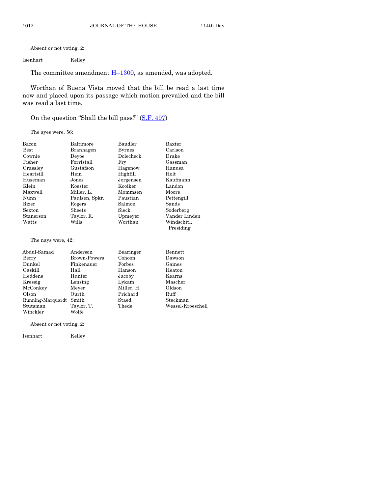Isenhart Kelley

The committee amendment  $H-1300$ , as amended, was adopted.

Worthan of Buena Vista moved that the bill be read a last time now and placed upon its passage which motion prevailed and the bill was read a last time.

On the question "Shall the bill pass?" ([S.F. 497\)](http://coolice.legis.iowa.gov/Cool-ICE/default.asp?Category=billinfo&Service=Billbook&frame=1&GA=86&hbill=SF497)

The ayes were, 56:

| Bacon       | Baltimore      | Baudler       | Baxter                   |
|-------------|----------------|---------------|--------------------------|
| <b>Best</b> | Branhagen      | <b>Byrnes</b> | Carlson                  |
| Cownie      | Devoe          | Dolecheck     | Drake                    |
| Fisher      | Forristall     | Frv           | Gassman                  |
| Grassley    | Gustafson      | Hagenow       | Hanusa                   |
| Heartsill   | Hein           | Highfill      | Holt                     |
| Huseman     | Jones          | Jorgensen     | Kaufmann                 |
| Klein       | Koester        | Kooiker       | Landon                   |
| Maxwell     | Miller, L.     | Mommsen       | Moore                    |
| Nunn        | Paulsen, Spkr. | Paustian      | Pettengill               |
| Rizer       | Rogers         | Salmon        | Sands                    |
| Sexton      | Sheets         | Sieck         | Soderberg                |
| Stanerson   | Taylor, R.     | Upmeyer       | Vander Linden            |
| Watts       | Wills          | Worthan       | Windschitl.<br>Presiding |
|             |                |               |                          |

The nays were, 42:

| Abdul-Samad             | Anderson     | Bearinger  | Bennett           |
|-------------------------|--------------|------------|-------------------|
| Berry                   | Brown-Powers | Cohoon     | Dawson            |
| Dunkel                  | Finkenauer   | Forbes     | Gaines            |
| Gaskill                 | Hall         | Hanson     | Heaton            |
| Heddens                 | Hunter       | Jacoby     | Kearns            |
| Kressig                 | Lensing      | Lykam      | Mascher           |
| McConkey                | Meyer        | Miller, H. | Oldson            |
| Olson                   | Ourth        | Prichard   | Ruff              |
| Running-Marquardt Smith |              | Staed      | Steckman          |
| Stutsman                | Taylor, T.   | Thede      | Wessel-Kroeschell |
| Winckler                | Wolfe        |            |                   |

Absent or not voting, 2:

Isenhart Kelley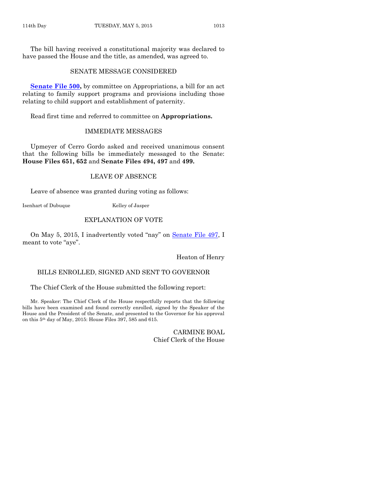The bill having received a constitutional majority was declared to have passed the House and the title, as amended, was agreed to.

#### SENATE MESSAGE CONSIDERED

**[Senate File 500,](http://coolice.legis.iowa.gov/Cool-ICE/default.asp?Category=billinfo&Service=Billbook&frame=1&GA=86&hbill=SF500)** by committee on Appropriations, a bill for an act relating to family support programs and provisions including those relating to child support and establishment of paternity.

Read first time and referred to committee on **Appropriations.**

#### IMMEDIATE MESSAGES

Upmeyer of Cerro Gordo asked and received unanimous consent that the following bills be immediately messaged to the Senate: **House Files 651, 652** and **Senate Files 494, 497** and **499.**

#### LEAVE OF ABSENCE

Leave of absence was granted during voting as follows:

Isenhart of Dubuque Kelley of Jasper

#### EXPLANATION OF VOTE

On May 5, 2015, I inadvertently voted "nay" on [Senate File 497,](http://coolice.legis.iowa.gov/Cool-ICE/default.asp?Category=billinfo&Service=Billbook&frame=1&GA=86&hbill=SF497) I meant to vote "aye".

Heaton of Henry

#### BILLS ENROLLED, SIGNED AND SENT TO GOVERNOR

The Chief Clerk of the House submitted the following report:

Mr. Speaker: The Chief Clerk of the House respectfully reports that the following bills have been examined and found correctly enrolled, signed by the Speaker of the House and the President of the Senate, and presented to the Governor for his approval on this 5th day of May, 2015: House Files 397, 585 and 615.

> CARMINE BOAL Chief Clerk of the House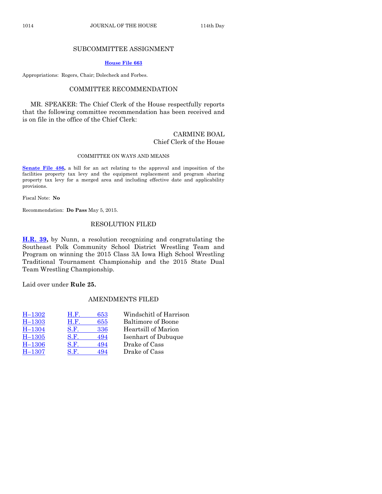#### SUBCOMMITTEE ASSIGNMENT

#### **[House File 663](http://coolice.legis.iowa.gov/Cool-ICE/default.asp?Category=billinfo&Service=Billbook&frame=1&GA=86&hbill=HF663)**

Appropriations: Rogers, Chair; Dolecheck and Forbes.

#### COMMITTEE RECOMMENDATION

MR. SPEAKER: The Chief Clerk of the House respectfully reports that the following committee recommendation has been received and is on file in the office of the Chief Clerk:

#### CARMINE BOAL Chief Clerk of the House

#### COMMITTEE ON WAYS AND MEANS

**[Senate File 486,](http://coolice.legis.iowa.gov/Cool-ICE/default.asp?Category=billinfo&Service=Billbook&frame=1&GA=86&hbill=SF486)** a bill for an act relating to the approval and imposition of the facilities property tax levy and the equipment replacement and program sharing property tax levy for a merged area and including effective date and applicability provisions.

Fiscal Note: **No**

Recommendation: **Do Pass** May 5, 2015.

#### RESOLUTION FILED

**[H.R.](http://coolice.legis.iowa.gov/Cool-ICE/default.asp?Category=billinfo&Service=Billbook&frame=1&GA=86&hbill=HR39) 39,** by Nunn, a resolution recognizing and congratulating the Southeast Polk Community School District Wrestling Team and Program on winning the 2015 Class 3A Iowa High School Wrestling Traditional Tournament Championship and the 2015 State Dual Team Wrestling Championship.

Laid over under **Rule 25.**

#### AMENDMENTS FILED

| $H-1302$   | Н.Е. | 653 | Windschitl of Harrison    |
|------------|------|-----|---------------------------|
| $H - 1303$ | H.F. | 655 | <b>Baltimore of Boone</b> |
| $H - 1304$ | S.F. | 336 | Heartsill of Marion       |
| $H - 1305$ | S.F. | 494 | Isenhart of Dubuque       |
| $H - 1306$ | S.F. | 494 | Drake of Cass             |
| $H - 1307$ | S.F. | 494 | Drake of Cass             |